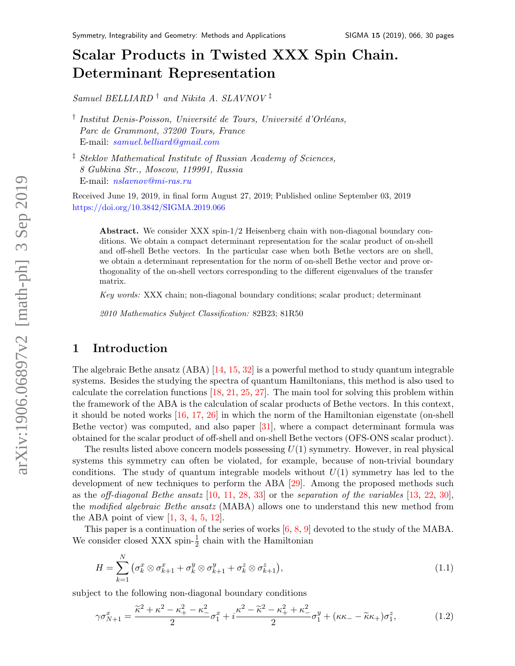# Scalar Products in Twisted XXX Spin Chain. Determinant Representation

Samuel BELLIARD<sup>†</sup> and Nikita A. SLAVNOV<sup>‡</sup>

<sup>†</sup> Institut Denis-Poisson, Université de Tours, Université d'Orléans, Parc de Grammont, 37200 Tours, France E-mail: [samuel.belliard@gmail.com](mailto:email@address)

‡ Steklov Mathematical Institute of Russian Academy of Sciences, 8 Gubkina Str., Moscow, 119991, Russia E-mail: [nslavnov@mi-ras.ru](mailto:email@address)

Received June 19, 2019, in final form August 27, 2019; Published online September 03, 2019 <https://doi.org/10.3842/SIGMA.2019.066>

Abstract. We consider XXX spin-1/2 Heisenberg chain with non-diagonal boundary conditions. We obtain a compact determinant representation for the scalar product of on-shell and off-shell Bethe vectors. In the particular case when both Bethe vectors are on shell, we obtain a determinant representation for the norm of on-shell Bethe vector and prove orthogonality of the on-shell vectors corresponding to the different eigenvalues of the transfer matrix.

Key words: XXX chain; non-diagonal boundary conditions; scalar product; determinant

2010 Mathematics Subject Classification: 82B23; 81R50

# 1 Introduction

The algebraic Bethe ansatz (ABA) [\[14,](#page-29-0) [15,](#page-29-1) [32\]](#page-29-2) is a powerful method to study quantum integrable systems. Besides the studying the spectra of quantum Hamiltonians, this method is also used to calculate the correlation functions [\[18,](#page-29-3) [21,](#page-29-4) [25,](#page-29-5) [27\]](#page-29-6). The main tool for solving this problem within the framework of the ABA is the calculation of scalar products of Bethe vectors. In this context, it should be noted works [\[16,](#page-29-7) [17,](#page-29-8) [26\]](#page-29-9) in which the norm of the Hamiltonian eigenstate (on-shell Bethe vector) was computed, and also paper [\[31\]](#page-29-10), where a compact determinant formula was obtained for the scalar product of off-shell and on-shell Bethe vectors (OFS-ONS scalar product).

The results listed above concern models possessing  $U(1)$  symmetry. However, in real physical systems this symmetry can often be violated, for example, because of non-trivial boundary conditions. The study of quantum integrable models without  $U(1)$  symmetry has led to the development of new techniques to perform the ABA [\[29\]](#page-29-11). Among the proposed methods such as the *off-diagonal Bethe ansatz* [\[10,](#page-28-0) [11,](#page-28-1) [28,](#page-29-12) [33\]](#page-29-13) or the *separation of the variables* [\[13,](#page-28-2) [22,](#page-29-14) [30\]](#page-29-15), the modified algebraic Bethe ansatz (MABA) allows one to understand this new method from the ABA point of view  $[1, 3, 4, 5, 12]$  $[1, 3, 4, 5, 12]$  $[1, 3, 4, 5, 12]$  $[1, 3, 4, 5, 12]$  $[1, 3, 4, 5, 12]$  $[1, 3, 4, 5, 12]$  $[1, 3, 4, 5, 12]$  $[1, 3, 4, 5, 12]$ .

This paper is a continuation of the series of works  $[6, 8, 9]$  $[6, 8, 9]$  $[6, 8, 9]$  $[6, 8, 9]$  devoted to the study of the MABA. We consider closed XXX spin- $\frac{1}{2}$  chain with the Hamiltonian

<span id="page-0-0"></span>
$$
H = \sum_{k=1}^{N} \left( \sigma_k^x \otimes \sigma_{k+1}^x + \sigma_k^y \otimes \sigma_{k+1}^y + \sigma_k^z \otimes \sigma_{k+1}^z \right), \tag{1.1}
$$

subject to the following non-diagonal boundary conditions

<span id="page-0-1"></span>
$$
\gamma \sigma_{N+1}^x = \frac{\tilde{\kappa}^2 + \kappa^2 - \kappa_+^2 - \kappa_-^2}{2} \sigma_1^x + i \frac{\kappa^2 - \tilde{\kappa}^2 - \kappa_+^2 + \kappa_-^2}{2} \sigma_1^y + (\kappa \kappa_- - \tilde{\kappa} \kappa_+) \sigma_1^z,\tag{1.2}
$$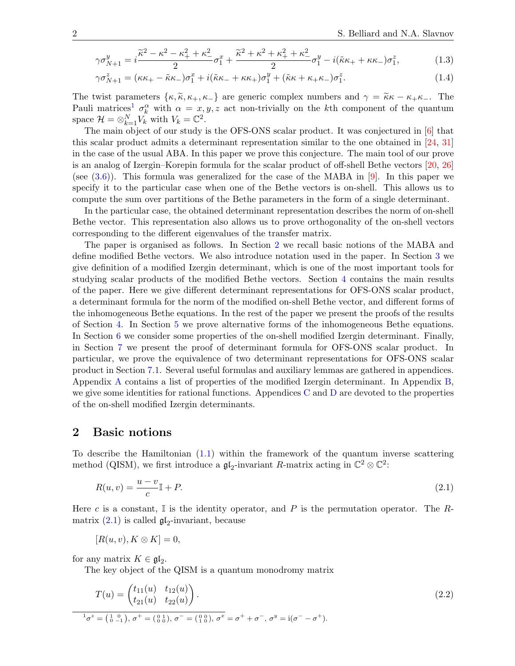$$
\gamma \sigma_{N+1}^y = i \frac{\tilde{\kappa}^2 - \kappa^2 - \kappa_+^2 + \kappa_-^2}{2} \sigma_1^x + \frac{\tilde{\kappa}^2 + \kappa^2 + \kappa_+^2 + \kappa_-^2}{2} \sigma_1^y - i(\tilde{\kappa}\kappa_+ + \kappa\kappa_-)\sigma_1^z,\tag{1.3}
$$

<span id="page-1-3"></span>
$$
\gamma \sigma_{N+1}^z = (\kappa \kappa_+ - \tilde{\kappa}\kappa_-) \sigma_1^x + i(\tilde{\kappa}\kappa_- + \kappa \kappa_+) \sigma_1^y + (\tilde{\kappa}\kappa + \kappa_+ \kappa_-) \sigma_1^z.
$$
 (1.4)

The twist parameters  $\{\kappa, \tilde{\kappa}, \kappa_+, \kappa_-\}$  are generic complex numbers and  $\gamma = \tilde{\kappa}\kappa - \kappa_+ \kappa_-$ . The Pauli matrices<sup>[1](#page-1-0)</sup>  $\sigma_k^{\alpha}$  with  $\alpha = x, y, z$  act non-trivially on the kth component of the quantum space  $\mathcal{H} = \otimes_{k=1}^N V_k$  with  $V_k = \mathbb{C}^2$ .

The main object of our study is the OFS-ONS scalar product. It was conjectured in [\[6\]](#page-28-8) that this scalar product admits a determinant representation similar to the one obtained in [\[24,](#page-29-16) [31\]](#page-29-10) in the case of the usual ABA. In this paper we prove this conjecture. The main tool of our prove is an analog of Izergin–Korepin formula for the scalar product of off-shell Bethe vectors [\[20,](#page-29-17) [26\]](#page-29-9) (see  $(3.6)$ ). This formula was generalized for the case of the MABA in [\[9\]](#page-28-10). In this paper we specify it to the particular case when one of the Bethe vectors is on-shell. This allows us to compute the sum over partitions of the Bethe parameters in the form of a single determinant.

In the particular case, the obtained determinant representation describes the norm of on-shell Bethe vector. This representation also allows us to prove orthogonality of the on-shell vectors corresponding to the different eigenvalues of the transfer matrix.

The paper is organised as follows. In Section [2](#page-1-1) we recall basic notions of the MABA and define modified Bethe vectors. We also introduce notation used in the paper. In Section [3](#page-5-0) we give definition of a modified Izergin determinant, which is one of the most important tools for studying scalar products of the modified Bethe vectors. Section [4](#page-8-0) contains the main results of the paper. Here we give different determinant representations for OFS-ONS scalar product, a determinant formula for the norm of the modified on-shell Bethe vector, and different forms of the inhomogeneous Bethe equations. In the rest of the paper we present the proofs of the results of Section [4.](#page-8-0) In Section [5](#page-10-0) we prove alternative forms of the inhomogeneous Bethe equations. In Section [6](#page-11-0) we consider some properties of the on-shell modified Izergin determinant. Finally, in Section [7](#page-13-0) we present the proof of determinant formula for OFS-ONS scalar product. In particular, we prove the equivalence of two determinant representations for OFS-ONS scalar product in Section [7.1.](#page-13-1) Several useful formulas and auxiliary lemmas are gathered in appendices. Appendix [A](#page-19-0) contains a list of properties of the modified Izergin determinant. In Appendix [B,](#page-20-0) we give some identities for rational functions. Appendices  $C$  and  $D$  are devoted to the properties of the on-shell modified Izergin determinants.

### <span id="page-1-1"></span>2 Basic notions

To describe the Hamiltonian  $(1.1)$  within the framework of the quantum inverse scattering method (QISM), we first introduce a  $\mathfrak{gl}_2$ -invariant R-matrix acting in  $\mathbb{C}^2 \otimes \mathbb{C}^2$ :

<span id="page-1-2"></span>
$$
R(u,v) = \frac{u-v}{c}\mathbb{I} + P. \tag{2.1}
$$

Here c is a constant,  $\mathbb I$  is the identity operator, and P is the permutation operator. The Rmatrix  $(2.1)$  is called  $\mathfrak{gl}_2$ -invariant, because

$$
[R(u, v), K \otimes K] = 0,
$$

for any matrix  $K \in \mathfrak{gl}_2$ .

The key object of the QISM is a quantum monodromy matrix

<span id="page-1-4"></span>
$$
T(u) = \begin{pmatrix} t_{11}(u) & t_{12}(u) \\ t_{21}(u) & t_{22}(u) \end{pmatrix}.
$$
 (2.2)

<span id="page-1-0"></span>
$$
{}^{1}\sigma^{z} = \left(\begin{smallmatrix} 1 & 0 \\ 0 & -1 \end{smallmatrix}\right), \sigma^{+} = \left(\begin{smallmatrix} 0 & 1 \\ 0 & 0 \end{smallmatrix}\right), \sigma^{-} = \left(\begin{smallmatrix} 0 & 0 \\ 1 & 0 \end{smallmatrix}\right), \sigma^{x} = \sigma^{+} + \sigma^{-}, \sigma^{y} = i(\sigma^{-} - \sigma^{+}).
$$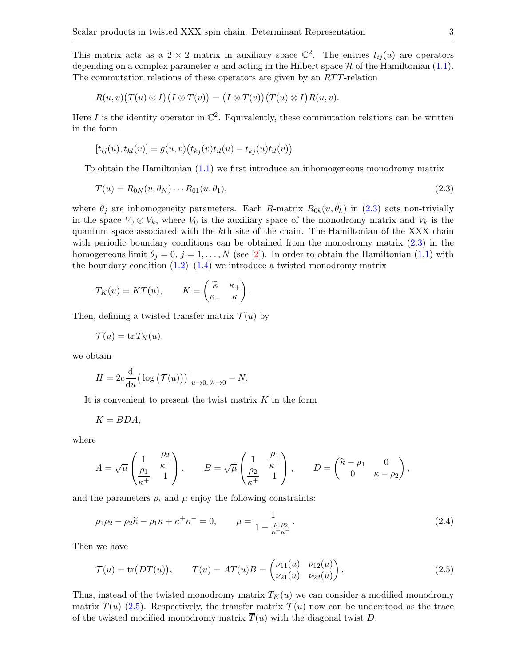This matrix acts as a 2  $\times$  2 matrix in auxiliary space  $\mathbb{C}^2$ . The entries  $t_{ij}(u)$  are operators depending on a complex parameter u and acting in the Hilbert space  $\mathcal H$  of the Hamiltonian [\(1.1\)](#page-0-0). The commutation relations of these operators are given by an RTT-relation

$$
R(u, v)(T(u) \otimes I)(I \otimes T(v)) = (I \otimes T(v))(T(u) \otimes I)R(u, v).
$$

Here I is the identity operator in  $\mathbb{C}^2$ . Equivalently, these commutation relations can be written in the form

<span id="page-2-0"></span>
$$
[t_{ij}(u), t_{kl}(v)] = g(u, v) (t_{kj}(v) t_{il}(u) - t_{kj}(u) t_{il}(v)).
$$

To obtain the Hamiltonian [\(1.1\)](#page-0-0) we first introduce an inhomogeneous monodromy matrix

$$
T(u) = R_{0N}(u, \theta_N) \cdots R_{01}(u, \theta_1),
$$
\n(2.3)

where  $\theta_i$  are inhomogeneity parameters. Each R-matrix  $R_{0k}(u, \theta_k)$  in [\(2.3\)](#page-2-0) acts non-trivially in the space  $V_0 \otimes V_k$ , where  $V_0$  is the auxiliary space of the monodromy matrix and  $V_k$  is the quantum space associated with the kth site of the chain. The Hamiltonian of the XXX chain with periodic boundary conditions can be obtained from the monodromy matrix  $(2.3)$  in the homogeneous limit  $\theta_j = 0, j = 1, ..., N$  (see [\[2\]](#page-28-11)). In order to obtain the Hamiltonian [\(1.1\)](#page-0-0) with the boundary condition  $(1.2)$ – $(1.4)$  we introduce a twisted monodromy matrix

$$
T_K(u) = KT(u), \qquad K = \begin{pmatrix} \widetilde{\kappa} & \kappa_+ \\ \kappa_- & \kappa \end{pmatrix}.
$$

Then, defining a twisted transfer matrix  $\mathcal{T}(u)$  by

$$
\mathcal{T}(u) = \operatorname{tr} T_K(u),
$$

we obtain

$$
H = 2c \frac{\mathrm{d}}{\mathrm{d}u} \big( \log \big( \mathcal{T}(u) \big) \big) \big|_{u \to 0, \theta_i \to 0} - N.
$$

It is convenient to present the twist matrix  $K$  in the form

$$
K=BDA,
$$

where

$$
A = \sqrt{\mu} \begin{pmatrix} 1 & \frac{\rho_2}{\kappa^-} \\ \frac{\rho_1}{\kappa^+} & 1 \end{pmatrix}, \qquad B = \sqrt{\mu} \begin{pmatrix} 1 & \frac{\rho_1}{\kappa^-} \\ \frac{\rho_2}{\kappa^+} & 1 \end{pmatrix}, \qquad D = \begin{pmatrix} \widetilde{\kappa} - \rho_1 & 0 \\ 0 & \kappa - \rho_2 \end{pmatrix},
$$

and the parameters  $\rho_i$  and  $\mu$  enjoy the following constraints:

<span id="page-2-2"></span>
$$
\rho_1 \rho_2 - \rho_2 \tilde{\kappa} - \rho_1 \kappa + \kappa^+ \kappa^- = 0, \qquad \mu = \frac{1}{1 - \frac{\rho_1 \rho_2}{\kappa^+ \kappa^-}}.
$$
\n(2.4)

Then we have

<span id="page-2-1"></span>
$$
\mathcal{T}(u) = \text{tr}\big(D\overline{T}(u)\big), \qquad \overline{T}(u) = AT(u)B = \begin{pmatrix} \nu_{11}(u) & \nu_{12}(u) \\ \nu_{21}(u) & \nu_{22}(u) \end{pmatrix}.
$$
\n(2.5)

Thus, instead of the twisted monodromy matrix  $T_K(u)$  we can consider a modified monodromy matrix  $\overline{T}(u)$  [\(2.5\)](#page-2-1). Respectively, the transfer matrix  $\mathcal{T}(u)$  now can be understood as the trace of the twisted modified monodromy matrix  $\overline{T}(u)$  with the diagonal twist D.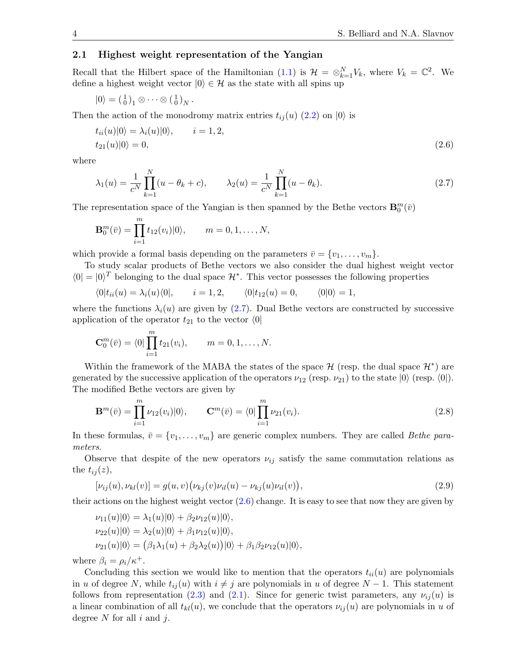#### 2.1 Highest weight representation of the Yangian

Recall that the Hilbert space of the Hamiltonian [\(1.1\)](#page-0-0) is  $\mathcal{H} = \otimes_{k=1}^{N} V_k$ , where  $V_k = \mathbb{C}^2$ . We define a highest weight vector  $|0\rangle \in \mathcal{H}$  as the state with all spins up

$$
|0\rangle = \left(\begin{smallmatrix} 1 \\ 0 \end{smallmatrix}\right)_1 \otimes \cdots \otimes \left(\begin{smallmatrix} 1 \\ 0 \end{smallmatrix}\right)_N.
$$

Then the action of the monodromy matrix entries  $t_{ij}(u)$  [\(2.2\)](#page-1-4) on  $|0\rangle$  is

<span id="page-3-1"></span>
$$
t_{ii}(u)|0\rangle = \lambda_i(u)|0\rangle, \qquad i = 1, 2,
$$
  

$$
t_{21}(u)|0\rangle = 0,
$$
 (2.6)

where

<span id="page-3-0"></span>
$$
\lambda_1(u) = \frac{1}{c^N} \prod_{k=1}^N (u - \theta_k + c), \qquad \lambda_2(u) = \frac{1}{c^N} \prod_{k=1}^N (u - \theta_k).
$$
\n(2.7)

The representation space of the Yangian is then spanned by the Bethe vectors  $\mathbf{B}_{0}^{m}(\bar{v})$ 

$$
\mathbf{B}_0^m(\bar{v}) = \prod_{i=1}^m t_{12}(v_i)|0\rangle, \qquad m = 0, 1, \dots, N,
$$

which provide a formal basis depending on the parameters  $\bar{v} = \{v_1, \ldots, v_m\}$ .

To study scalar products of Bethe vectors we also consider the dual highest weight vector  $\langle 0 | = | 0 \rangle^T$  belonging to the dual space  $\mathcal{H}^*$ . This vector possesses the following properties

$$
\langle 0|t_{ii}(u) = \lambda_i(u)\langle 0|, \qquad i = 1, 2, \qquad \langle 0|t_{12}(u) = 0, \qquad \langle 0|0 \rangle = 1,
$$

where the functions  $\lambda_i(u)$  are given by [\(2.7\)](#page-3-0). Dual Bethe vectors are constructed by successive application of the operator  $t_{21}$  to the vector  $\langle 0|$ 

$$
\mathbf{C}_0^m(\bar{v}) = \langle 0 | \prod_{i=1}^m t_{21}(v_i), \qquad m = 0, 1, \ldots, N.
$$

Within the framework of the MABA the states of the space  $\mathcal{H}$  (resp. the dual space  $\mathcal{H}^*$ ) are generated by the successive application of the operators  $\nu_{12}$  (resp.  $\nu_{21}$ ) to the state  $|0\rangle$  (resp.  $\langle 0|$ ). The modified Bethe vectors are given by

<span id="page-3-3"></span>
$$
\mathbf{B}^{m}(\bar{v}) = \prod_{i=1}^{m} \nu_{12}(v_{i})|0\rangle, \qquad \mathbf{C}^{m}(\bar{v}) = \langle 0| \prod_{i=1}^{m} \nu_{21}(v_{i}). \tag{2.8}
$$

In these formulas,  $\bar{v} = \{v_1, \ldots, v_m\}$  are generic complex numbers. They are called *Bethe para*meters.

Observe that despite of the new operators  $\nu_{ij}$  satisfy the same commutation relations as the  $t_{ij}(z)$ ,

<span id="page-3-2"></span>
$$
[\nu_{ij}(u), \nu_{kl}(v)] = g(u, v)(\nu_{kj}(v)\nu_{il}(u) - \nu_{kj}(u)\nu_{il}(v)),
$$
\n(2.9)

their actions on the highest weight vector  $(2.6)$  change. It is easy to see that now they are given by

$$
\nu_{11}(u)|0\rangle = \lambda_1(u)|0\rangle + \beta_2\nu_{12}(u)|0\rangle,
$$
  
\n
$$
\nu_{22}(u)|0\rangle = \lambda_2(u)|0\rangle + \beta_1\nu_{12}(u)|0\rangle,
$$
  
\n
$$
\nu_{21}(u)|0\rangle = (\beta_1\lambda_1(u) + \beta_2\lambda_2(u))|0\rangle + \beta_1\beta_2\nu_{12}(u)|0\rangle,
$$

where  $\beta_i = \rho_i / \kappa^+$ .

Concluding this section we would like to mention that the operators  $t_{ii}(u)$  are polynomials in u of degree N, while  $t_{ij}(u)$  with  $i \neq j$  are polynomials in u of degree  $N-1$ . This statement follows from representation [\(2.3\)](#page-2-0) and [\(2.1\)](#page-1-2). Since for generic twist parameters, any  $\nu_{ij}(u)$  is a linear combination of all  $t_{kl}(u)$ , we conclude that the operators  $\nu_{ij}(u)$  are polynomials in u of degree  $N$  for all  $i$  and  $j$ .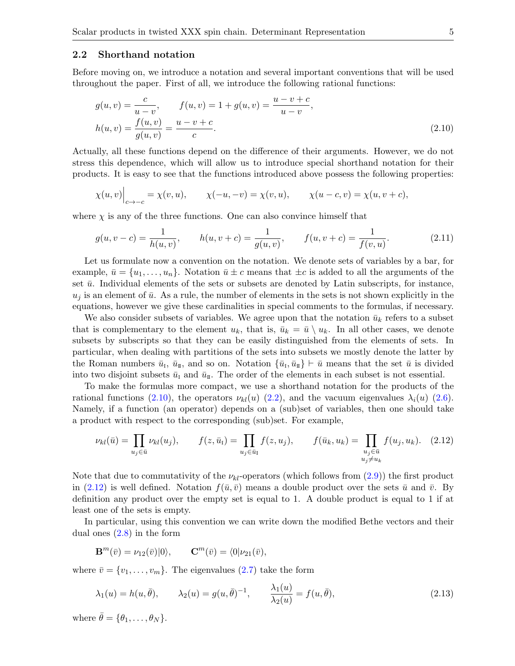#### 2.2 Shorthand notation

Before moving on, we introduce a notation and several important conventions that will be used throughout the paper. First of all, we introduce the following rational functions:

<span id="page-4-0"></span>
$$
g(u, v) = \frac{c}{u - v}, \qquad f(u, v) = 1 + g(u, v) = \frac{u - v + c}{u - v},
$$
  

$$
h(u, v) = \frac{f(u, v)}{g(u, v)} = \frac{u - v + c}{c}.
$$
 (2.10)

Actually, all these functions depend on the difference of their arguments. However, we do not stress this dependence, which will allow us to introduce special shorthand notation for their products. It is easy to see that the functions introduced above possess the following properties:

$$
\chi(u, v)\Big|_{c \to -c} = \chi(v, u), \qquad \chi(-u, -v) = \chi(v, u), \qquad \chi(u - c, v) = \chi(u, v + c),
$$

where  $\chi$  is any of the three functions. One can also convince himself that

<span id="page-4-3"></span>
$$
g(u, v - c) = \frac{1}{h(u, v)}, \qquad h(u, v + c) = \frac{1}{g(u, v)}, \qquad f(u, v + c) = \frac{1}{f(v, u)}.
$$
 (2.11)

Let us formulate now a convention on the notation. We denote sets of variables by a bar, for example,  $\bar{u} = \{u_1, \ldots, u_n\}$ . Notation  $\bar{u} \pm c$  means that  $\pm c$  is added to all the arguments of the set  $\bar{u}$ . Individual elements of the sets or subsets are denoted by Latin subscripts, for instance,  $u_j$  is an element of  $\bar{u}$ . As a rule, the number of elements in the sets is not shown explicitly in the equations, however we give these cardinalities in special comments to the formulas, if necessary.

We also consider subsets of variables. We agree upon that the notation  $\bar{u}_k$  refers to a subset that is complementary to the element  $u_k$ , that is,  $\bar{u}_k = \bar{u} \setminus u_k$ . In all other cases, we denote subsets by subscripts so that they can be easily distinguished from the elements of sets. In particular, when dealing with partitions of the sets into subsets we mostly denote the latter by the Roman numbers  $\bar{u}_{\text{I}}$ ,  $\bar{u}_{\text{II}}$ , and so on. Notation  $\{\bar{u}_{\text{I}}, \bar{u}_{\text{II}}\} \vdash \bar{u}$  means that the set  $\bar{u}$  is divided into two disjoint subsets  $\bar{u}_I$  and  $\bar{u}_I$ . The order of the elements in each subset is not essential.

To make the formulas more compact, we use a shorthand notation for the products of the rational functions [\(2.10\)](#page-4-0), the operators  $\nu_{kl}(u)$  [\(2.2\)](#page-1-4), and the vacuum eigenvalues  $\lambda_i(u)$  [\(2.6\)](#page-3-1). Namely, if a function (an operator) depends on a (sub)set of variables, then one should take a product with respect to the corresponding (sub)set. For example,

<span id="page-4-1"></span>
$$
\nu_{kl}(\bar{u}) = \prod_{u_j \in \bar{u}} \nu_{kl}(u_j), \qquad f(z, \bar{u}_I) = \prod_{u_j \in \bar{u}_I} f(z, u_j), \qquad f(\bar{u}_k, u_k) = \prod_{\substack{u_j \in \bar{u} \\ u_j \neq u_k}} f(u_j, u_k). \tag{2.12}
$$

Note that due to commutativity of the  $\nu_{kl}$ -operators (which follows from [\(2.9\)](#page-3-2)) the first product in [\(2.12\)](#page-4-1) is well defined. Notation  $f(\bar{u}, \bar{v})$  means a double product over the sets  $\bar{u}$  and  $\bar{v}$ . By definition any product over the empty set is equal to 1. A double product is equal to 1 if at least one of the sets is empty.

In particular, using this convention we can write down the modified Bethe vectors and their dual ones [\(2.8\)](#page-3-3) in the form

$$
\mathbf{B}^m(\bar{v}) = \nu_{12}(\bar{v})|0\rangle, \qquad \mathbf{C}^m(\bar{v}) = \langle 0|\nu_{21}(\bar{v}),
$$

where  $\bar{v} = \{v_1, \ldots, v_m\}$ . The eigenvalues [\(2.7\)](#page-3-0) take the form

<span id="page-4-2"></span>
$$
\lambda_1(u) = h(u, \bar{\theta}), \qquad \lambda_2(u) = g(u, \bar{\theta})^{-1}, \qquad \frac{\lambda_1(u)}{\lambda_2(u)} = f(u, \bar{\theta}),
$$
\n(2.13)

where  $\bar{\theta} = {\theta_1, \ldots, \theta_N}.$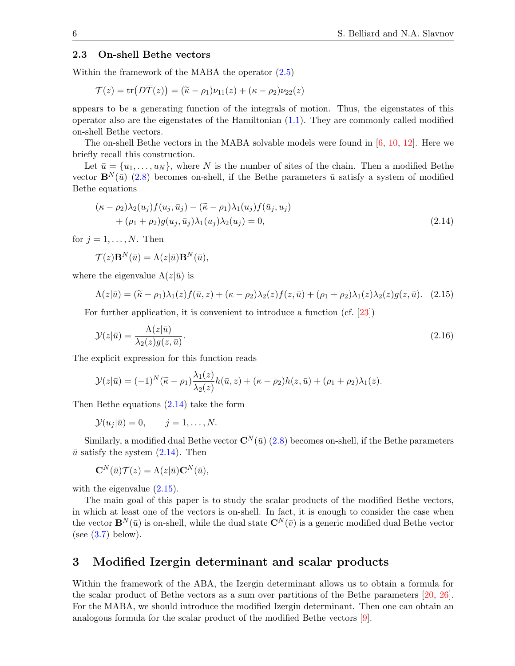#### 2.3 On-shell Bethe vectors

Within the framework of the MABA the operator [\(2.5\)](#page-2-1)

$$
\mathcal{T}(z) = \text{tr}\big(D\overline{T}(z)\big) = (\widetilde{\kappa} - \rho_1)\nu_{11}(z) + (\kappa - \rho_2)\nu_{22}(z)
$$

appears to be a generating function of the integrals of motion. Thus, the eigenstates of this operator also are the eigenstates of the Hamiltonian  $(1.1)$ . They are commonly called modified on-shell Bethe vectors.

The on-shell Bethe vectors in the MABA solvable models were found in [\[6,](#page-28-8) [10,](#page-28-0) [12\]](#page-28-7). Here we briefly recall this construction.

Let  $\bar{u} = \{u_1, \ldots, u_N\}$ , where N is the number of sites of the chain. Then a modified Bethe vector  $\mathbf{B}^{N}(\bar{u})$  [\(2.8\)](#page-3-3) becomes on-shell, if the Bethe parameters  $\bar{u}$  satisfy a system of modified Bethe equations

<span id="page-5-1"></span>
$$
(\kappa - \rho_2)\lambda_2(u_j)f(u_j, \bar{u}_j) - (\widetilde{\kappa} - \rho_1)\lambda_1(u_j)f(\bar{u}_j, u_j) + (\rho_1 + \rho_2)g(u_j, \bar{u}_j)\lambda_1(u_j)\lambda_2(u_j) = 0,
$$
\n(2.14)

for  $j = 1, \ldots, N$ . Then

<span id="page-5-2"></span>
$$
\mathcal{T}(z)\mathbf{B}^{N}(\bar{u})=\Lambda(z|\bar{u})\mathbf{B}^{N}(\bar{u}),
$$

where the eigenvalue  $\Lambda(z|\bar{u})$  is

$$
\Lambda(z|\bar{u}) = (\tilde{\kappa} - \rho_1)\lambda_1(z)f(\bar{u}, z) + (\kappa - \rho_2)\lambda_2(z)f(z, \bar{u}) + (\rho_1 + \rho_2)\lambda_1(z)\lambda_2(z)g(z, \bar{u}).
$$
 (2.15)

For further application, it is convenient to introduce a function (cf. [\[23\]](#page-29-18))

<span id="page-5-3"></span>
$$
\mathcal{Y}(z|\bar{u}) = \frac{\Lambda(z|\bar{u})}{\lambda_2(z)g(z,\bar{u})}.\tag{2.16}
$$

The explicit expression for this function reads

$$
\mathcal{Y}(z|\bar{u}) = (-1)^N (\tilde{\kappa} - \rho_1) \frac{\lambda_1(z)}{\lambda_2(z)} h(\bar{u}, z) + (\kappa - \rho_2) h(z, \bar{u}) + (\rho_1 + \rho_2) \lambda_1(z).
$$

Then Bethe equations [\(2.14\)](#page-5-1) take the form

$$
\mathcal{Y}(u_j|\bar{u})=0, \qquad j=1,\ldots,N.
$$

Similarly, a modified dual Bethe vector  $\mathbf{C}^{N}(\bar{u})$  [\(2.8\)](#page-3-3) becomes on-shell, if the Bethe parameters  $\bar{u}$  satisfy the system  $(2.14)$ . Then

$$
\mathbf{C}^N(\bar{u})\mathcal{T}(z) = \Lambda(z|\bar{u})\mathbf{C}^N(\bar{u}),
$$

with the eigenvalue  $(2.15)$ .

The main goal of this paper is to study the scalar products of the modified Bethe vectors, in which at least one of the vectors is on-shell. In fact, it is enough to consider the case when the vector  $\mathbf{B}^{N}(\bar{u})$  is on-shell, while the dual state  $\mathbf{C}^{N}(\bar{v})$  is a generic modified dual Bethe vector (see  $(3.7)$  below).

### <span id="page-5-0"></span>3 Modified Izergin determinant and scalar products

Within the framework of the ABA, the Izergin determinant allows us to obtain a formula for the scalar product of Bethe vectors as a sum over partitions of the Bethe parameters [\[20,](#page-29-17) [26\]](#page-29-9). For the MABA, we should introduce the modified Izergin determinant. Then one can obtain an analogous formula for the scalar product of the modified Bethe vectors [\[9\]](#page-28-10).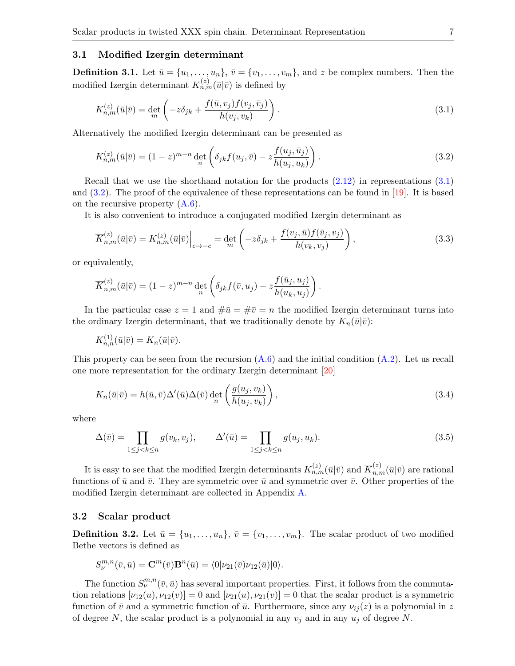#### 3.1 Modified Izergin determinant

**Definition 3.1.** Let  $\bar{u} = \{u_1, \ldots, u_n\}$ ,  $\bar{v} = \{v_1, \ldots, v_m\}$ , and z be complex numbers. Then the modified Izergin determinant  $K_{n,m}^{(z)}(\bar{u}|\bar{v})$  is defined by

<span id="page-6-0"></span>
$$
K_{n,m}^{(z)}(\bar{u}|\bar{v}) = \det_m \left( -z\delta_{jk} + \frac{f(\bar{u}, v_j)f(v_j, \bar{v}_j)}{h(v_j, v_k)} \right). \tag{3.1}
$$

Alternatively the modified Izergin determinant can be presented as

<span id="page-6-1"></span>
$$
K_{n,m}^{(z)}(\bar{u}|\bar{v}) = (1-z)^{m-n} \det_{n} \left( \delta_{jk} f(u_j, \bar{v}) - z \frac{f(u_j, \bar{u}_j)}{h(u_j, u_k)} \right).
$$
 (3.2)

Recall that we use the shorthand notation for the products [\(2.12\)](#page-4-1) in representations [\(3.1\)](#page-6-0) and  $(3.2)$ . The proof of the equivalence of these representations can be found in [\[19\]](#page-29-19). It is based on the recursive property [\(A.6\)](#page-20-1).

It is also convenient to introduce a conjugated modified Izergin determinant as

<span id="page-6-2"></span>
$$
\overline{K}_{n,m}^{(z)}(\bar{u}|\bar{v}) = K_{n,m}^{(z)}(\bar{u}|\bar{v})\Big|_{c \to -c} = \det_m \left( -z\delta_{jk} + \frac{f(v_j, \bar{u})f(\bar{v}_j, v_j)}{h(v_k, v_j)} \right),\tag{3.3}
$$

or equivalently,

$$
\overline{K}_{n,m}^{(z)}(\bar{u}|\bar{v}) = (1-z)^{m-n} \det_n \left( \delta_{jk} f(\bar{v}, u_j) - z \frac{f(\bar{u}_j, u_j)}{h(u_k, u_j)} \right).
$$

In the particular case  $z = 1$  and  $\#\bar{u} = \#\bar{v} = n$  the modified Izergin determinant turns into the ordinary Izergin determinant, that we traditionally denote by  $K_n(\bar{u}|\bar{v})$ :

$$
K_{n,n}^{(1)}(\bar{u}|\bar{v})=K_n(\bar{u}|\bar{v}).
$$

This property can be seen from the recursion  $(A.6)$  and the initial condition  $(A.2)$ . Let us recall one more representation for the ordinary Izergin determinant [\[20\]](#page-29-17)

<span id="page-6-5"></span>
$$
K_n(\bar{u}|\bar{v}) = h(\bar{u}, \bar{v})\Delta'(\bar{u})\Delta(\bar{v})\det_n\left(\frac{g(u_j, v_k)}{h(u_j, v_k)}\right),\tag{3.4}
$$

where

<span id="page-6-3"></span>
$$
\Delta(\bar{v}) = \prod_{1 \le j < k \le n} g(v_k, v_j), \qquad \Delta'(\bar{u}) = \prod_{1 \le j < k \le n} g(u_j, u_k). \tag{3.5}
$$

It is easy to see that the modified Izergin determinants  $K_{n,m}^{(z)}(\bar{u}|\bar{v})$  and  $\overline{K}_{n,m}^{(z)}(\bar{u}|\bar{v})$  are rational functions of  $\bar{u}$  and  $\bar{v}$ . They are symmetric over  $\bar{u}$  and symmetric over  $\bar{v}$ . Other properties of the modified Izergin determinant are collected in Appendix [A.](#page-19-0)

#### <span id="page-6-4"></span>3.2 Scalar product

**Definition 3.2.** Let  $\bar{u} = \{u_1, \ldots, u_n\}, \bar{v} = \{v_1, \ldots, v_m\}.$  The scalar product of two modified Bethe vectors is defined as

$$
S_{\nu}^{m,n}(\bar{v},\bar{u}) = \mathbf{C}^m(\bar{v})\mathbf{B}^n(\bar{u}) = \langle 0|\nu_{21}(\bar{v})\nu_{12}(\bar{u})|0\rangle.
$$

The function  $S_{\nu}^{m,n}(\bar{v},\bar{u})$  has several important properties. First, it follows from the commutation relations  $[\nu_{12}(u), \nu_{12}(v)] = 0$  and  $[\nu_{21}(u), \nu_{21}(v)] = 0$  that the scalar product is a symmetric function of  $\bar{v}$  and a symmetric function of  $\bar{u}$ . Furthermore, since any  $\nu_{ij}(z)$  is a polynomial in z of degree N, the scalar product is a polynomial in any  $v_j$  and in any  $u_j$  of degree N.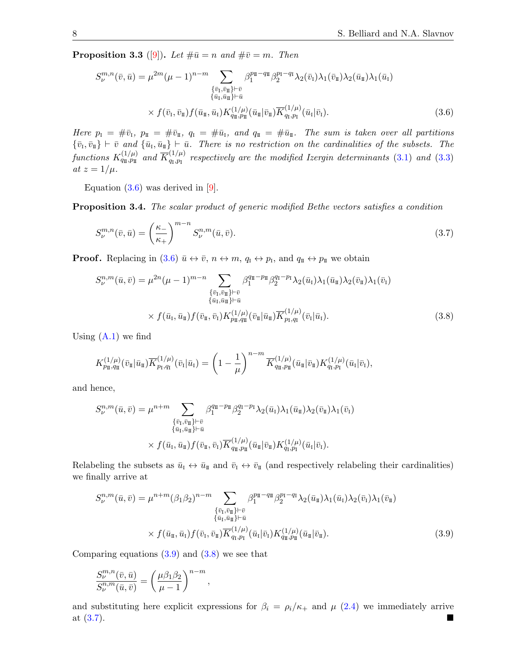**Proposition 3.3** ([\[9\]](#page-28-10)). Let  $\#\bar{u} = n$  and  $\#\bar{v} = m$ . Then

<span id="page-7-0"></span>
$$
S_{\nu}^{m,n}(\bar{v}, \bar{u}) = \mu^{2m}(\mu - 1)^{n-m} \sum_{\substack{\{\bar{v}_1, \bar{v}_\Pi\} \vdash \bar{v} \\{\bar{u}_1, \bar{u}_\Pi\} \vdash \bar{u}}} \beta_1^{p_\Pi - q_\Pi} \beta_2^{p_\Pi - q_\Pi} \lambda_2(\bar{v}_1) \lambda_1(\bar{v}_\Pi) \lambda_2(\bar{u}_\Pi) \lambda_1(\bar{u}_1)
$$
  
 
$$
\times f(\bar{v}_1, \bar{v}_\Pi) f(\bar{u}_\Pi, \bar{u}_1) K_{q_\Pi, p_\Pi}^{(1/\mu)}(\bar{u}_\Pi | \bar{v}_\Pi) \overline{K}_{q_1, p_1}^{(1/\mu)}(\bar{u}_\Pi | \bar{v}_1).
$$
 (3.6)

Here  $p_1 = #\bar{v}_1$ ,  $p_{\text{II}} = #\bar{v}_{\text{II}}$ ,  $q_1 = #\bar{u}_1$ , and  $q_{\text{II}} = #\bar{u}_{\text{II}}$ . The sum is taken over all partitions  $\{\bar{v}_{\scriptscriptstyle \rm I},\bar{v}_{\scriptscriptstyle \rm I\hspace{-1pt}I}\}\vdash \bar{v}\enskip\emph{and}\enskip \{\bar{u}_{\scriptscriptstyle \rm I},\bar{u}_{\scriptscriptstyle \rm I\hspace{-1pt}I}\}\vdash \bar{u}\enskip\emph{. There is no restriction on the cardinalities of the subsets. The$ functions  $K_{q_{\rm I\!I},p_{\rm I\!I}}^{(1/\mu)}$  and  $\overline K_{q_{\rm I},p_{\rm I}}^{(1/\mu)}$  $q_{q,p_1}^{(1/\mu)}$  respectively are the modified Izergin determinants [\(3.1\)](#page-6-0) and [\(3.3\)](#page-6-2) at  $z = 1/\mu$ .

Equation  $(3.6)$  was derived in  $[9]$ .

Proposition 3.4. The scalar product of generic modified Bethe vectors satisfies a condition

<span id="page-7-1"></span>
$$
S_{\nu}^{m,n}(\bar{v},\bar{u}) = \left(\frac{\kappa_{-}}{\kappa_{+}}\right)^{m-n} S_{\nu}^{n,m}(\bar{u},\bar{v}).
$$
\n(3.7)

**Proof.** Replacing in  $(3.6)$   $\bar{u} \leftrightarrow \bar{v}$ ,  $n \leftrightarrow m$ ,  $q_I \leftrightarrow p_I$ , and  $q_{\bar{u}} \leftrightarrow p_{\bar{u}}$  we obtain

<span id="page-7-3"></span>
$$
S_{\nu}^{n,m}(\bar{u},\bar{v}) = \mu^{2n}(\mu - 1)^{m-n} \sum_{\substack{\{\bar{v}_\mathrm{I},\bar{v}_\mathrm{II}\} \vdash \bar{v} \\ \{\bar{u}_\mathrm{I},\bar{u}_\mathrm{II}\} \vdash \bar{u} \\ \times f(\bar{u}_\mathrm{I},\bar{u}_\mathrm{II})f(\bar{v}_\mathrm{II},\bar{v}_\mathrm{I})K_{p_{\mathrm{II}},q_{\mathrm{II}}}^{(1/\mu)}(\bar{v}_\mathrm{II}|\bar{u}_\mathrm{II})\overline{K}_{p_{\mathrm{I}},q_{\mathrm{II}}}^{(1/\mu)}(\bar{v}_\mathrm{I}|\bar{u}_\mathrm{I}).} \tag{3.8}
$$

Using  $(A.1)$  we find

$$
K^{(1/\mu)}_{p_{\rm I\!I},q_{\rm I\!I\!I}}(\bar{v}_{\rm I\!I}|\bar{u}_{\rm I\!I})\overline{K}^{(1/\mu)}_{p_{\rm I},q_{\rm I}}(\bar{v}_{\rm I}|\bar{u}_{\rm I})=\left(1-\frac{1}{\mu}\right)^{n-m}\overline{K}^{(1/\mu)}_{q_{\rm I\!I},p_{\rm I\!I\!I}}(\bar{u}_{\rm I\!I}|\bar{v}_{\rm I\!I})K^{(1/\mu)}_{q_{\rm I},p_{\rm I\!I}}(\bar{u}_{\rm I}|\bar{v}_{\rm I}),
$$

and hence,

$$
S_{\nu}^{n,m}(\bar{u},\bar{v}) = \mu^{n+m} \sum_{\substack{\{\bar{v}_\mathrm{I},\bar{v}_\mathrm{II}\} \vdash \bar{v} \\ \{\bar{u}_\mathrm{I},\bar{u}_\mathrm{II}\} \vdash \bar{u} \\ \times f(\bar{u}_\mathrm{I},\bar{u}_\mathrm{II})f(\bar{v}_\mathrm{I},\bar{v}_\mathrm{I})} \beta_{1}^{q_{\mathrm{II}} - p_{\mathrm{II}}} \beta_{2}^{q_{\mathrm{I}} - p_{\mathrm{I}}} \lambda_{2}(\bar{u}_{\mathrm{I}}) \lambda_{1}(\bar{u}_{\mathrm{II}}) \lambda_{2}(\bar{v}_{\mathrm{II}}) \lambda_{1}(\bar{v}_{\mathrm{I}})}{\langle \bar{u}_\mathrm{I},\bar{u}_\mathrm{II} \rangle f(\bar{v}_\mathrm{I},\bar{v}_\mathrm{I})} \overline{K}_{q_{\mathrm{II}},p_{\mathrm{II}}}^{(1/\mu)}(\bar{u}_{\mathrm{II}}|\bar{v}_{\mathrm{II}}) K_{q_{\mathrm{I}},p_{\mathrm{I}}}^{(1/\mu)}(\bar{u}_{\mathrm{I}}|\bar{v}_{\mathrm{I}}).
$$

Relabeling the subsets as  $\bar{u}_I \leftrightarrow \bar{u}_{II}$  and  $\bar{v}_I \leftrightarrow \bar{v}_{II}$  (and respectively relabeling their cardinalities) we finally arrive at

$$
S_{\nu}^{n,m}(\bar{u},\bar{v}) = \mu^{n+m} (\beta_1 \beta_2)^{n-m} \sum_{\substack{\{\bar{v}_\mathrm{I}, \bar{v}_\mathrm{II}\} \vdash \bar{v} \\ \{\bar{u}_\mathrm{I}, \bar{u}_\mathrm{II}\} \vdash \bar{u} \\ \times f(\bar{u}_\mathrm{II}, \bar{u}_\mathrm{I}) f(\bar{v}_\mathrm{I}, \bar{v}_\mathrm{II})} \overline{K}_{q_1, p_1}^{(1/\mu)}(\bar{u}_\mathrm{I}|\bar{v}_\mathrm{I}) K_{q_1, p_1}^{(1/\mu)}(\bar{u}_\mathrm{II}|\bar{v}_\mathrm{I}).
$$
\n(3.9)

Comparing equations  $(3.9)$  and  $(3.8)$  we see that

<span id="page-7-2"></span>
$$
\frac{S_{\nu}^{m,n}(\bar{v},\bar{u})}{S_{\nu}^{n,m}(\bar{u},\bar{v})}=\left(\frac{\mu\beta_1\beta_2}{\mu-1}\right)^{n-m},
$$

and substituting here explicit expressions for  $\beta_i = \rho_i/\kappa_+$  and  $\mu$  [\(2.4\)](#page-2-2) we immediately arrive at  $(3.7)$ .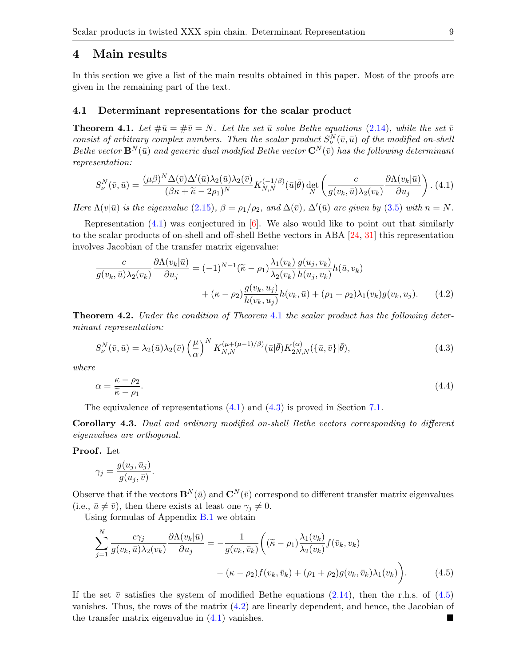## <span id="page-8-0"></span>4 Main results

In this section we give a list of the main results obtained in this paper. Most of the proofs are given in the remaining part of the text.

#### 4.1 Determinant representations for the scalar product

<span id="page-8-2"></span>**Theorem 4.1.** Let  $\#\bar{u} = \#\bar{v} = N$ . Let the set  $\bar{u}$  solve Bethe equations [\(2.14\)](#page-5-1), while the set  $\bar{v}$ consist of arbitrary complex numbers. Then the scalar product  $S_{\nu}^{N}(\bar{v}, \bar{u})$  of the modified on-shell Bethe vector  $\mathbf{B}^{N}(\bar{u})$  and generic dual modified Bethe vector  $\mathbf{C}^{N}(\bar{v})$  has the following determinant representation:

<span id="page-8-1"></span>
$$
S_{\nu}^{N}(\bar{v},\bar{u}) = \frac{(\mu\beta)^{N}\Delta(\bar{v})\Delta'(\bar{u})\lambda_{2}(\bar{u})\lambda_{2}(\bar{v})}{(\beta\kappa + \widetilde{\kappa} - 2\rho_{1})^{N}} K_{N,N}^{(-1/\beta)}(\bar{u}|\bar{\theta}) \det_{N} \left(\frac{c}{g(v_{k},\bar{u})\lambda_{2}(v_{k})} \frac{\partial\Lambda(v_{k}|\bar{u})}{\partial u_{j}}\right). (4.1)
$$

Here  $\Lambda(v|\bar{u})$  is the eigenvalue [\(2.15\)](#page-5-2),  $\beta = \rho_1/\rho_2$ , and  $\Delta(\bar{v})$ ,  $\Delta'(\bar{u})$  are given by [\(3.5\)](#page-6-3) with  $n = N$ .

Representation  $(4.1)$  was conjectured in  $\left|6\right|$ . We also would like to point out that similarly to the scalar products of on-shell and off-shell Bethe vectors in ABA [\[24,](#page-29-16) [31\]](#page-29-10) this representation involves Jacobian of the transfer matrix eigenvalue:

<span id="page-8-5"></span>
$$
\frac{c}{g(v_k, \bar{u})\lambda_2(v_k)} \frac{\partial \Lambda(v_k|\bar{u})}{\partial u_j} = (-1)^{N-1} (\tilde{\kappa} - \rho_1) \frac{\lambda_1(v_k)}{\lambda_2(v_k)} \frac{g(u_j, v_k)}{h(u_j, v_k)} h(\bar{u}, v_k)
$$

$$
+ (\kappa - \rho_2) \frac{g(v_k, u_j)}{h(v_k, u_j)} h(v_k, \bar{u}) + (\rho_1 + \rho_2) \lambda_1(v_k) g(v_k, u_j). \tag{4.2}
$$

<span id="page-8-6"></span>Theorem 4.2. Under the condition of Theorem [4.1](#page-8-2) the scalar product has the following determinant representation:

<span id="page-8-3"></span>
$$
S_{\nu}^{N}(\bar{v},\bar{u}) = \lambda_2(\bar{u})\lambda_2(\bar{v}) \left(\frac{\mu}{\alpha}\right)^N K_{N,N}^{(\mu+(\mu-1)/\beta)}(\bar{u}|\bar{\theta}) K_{2N,N}^{(\alpha)}(\{\bar{u},\bar{v}\}|\bar{\theta}),\tag{4.3}
$$

where

<span id="page-8-7"></span>
$$
\alpha = \frac{\kappa - \rho_2}{\tilde{\kappa} - \rho_1}.\tag{4.4}
$$

The equivalence of representations  $(4.1)$  and  $(4.3)$  is proved in Section [7.1.](#page-13-1)

Corollary 4.3. Dual and ordinary modified on-shell Bethe vectors corresponding to different eigenvalues are orthogonal.

Proof. Let

$$
\gamma_j = \frac{g(u_j,\bar{u}_j)}{g(u_j,\bar{v})}.
$$

Observe that if the vectors  $\mathbf{B}^{N}(\bar{u})$  and  $\mathbf{C}^{N}(\bar{v})$  correspond to different transfer matrix eigenvalues (i.e.,  $\bar{u} \neq \bar{v}$ ), then there exists at least one  $\gamma_i \neq 0$ .

Using formulas of Appendix [B.1](#page-20-2) we obtain

<span id="page-8-4"></span>
$$
\sum_{j=1}^{N} \frac{c\gamma_j}{g(v_k, \bar{u})\lambda_2(v_k)} \frac{\partial \Lambda(v_k|\bar{u})}{\partial u_j} = -\frac{1}{g(v_k, \bar{v}_k)} \left( (\tilde{\kappa} - \rho_1) \frac{\lambda_1(v_k)}{\lambda_2(v_k)} f(\bar{v}_k, v_k) - (\kappa - \rho_2) f(v_k, \bar{v}_k) + (\rho_1 + \rho_2) g(v_k, \bar{v}_k) \lambda_1(v_k) \right). \tag{4.5}
$$

If the set  $\bar{v}$  satisfies the system of modified Bethe equations [\(2.14\)](#page-5-1), then the r.h.s. of [\(4.5\)](#page-8-4) vanishes. Thus, the rows of the matrix [\(4.2\)](#page-8-5) are linearly dependent, and hence, the Jacobian of the transfer matrix eigenvalue in [\(4.1\)](#page-8-1) vanishes.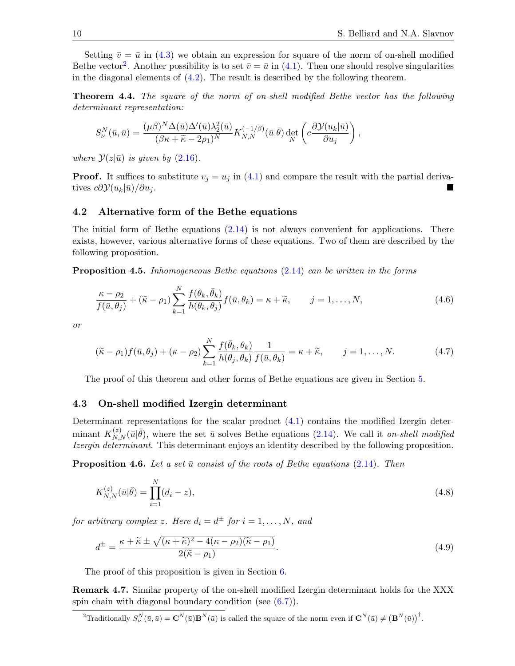Setting  $\bar{v} = \bar{u}$  in [\(4.3\)](#page-8-3) we obtain an expression for square of the norm of on-shell modified Bethe vector<sup>[2](#page-9-0)</sup>. Another possibility is to set  $\bar{v} = \bar{u}$  in [\(4.1\)](#page-8-1). Then one should resolve singularities in the diagonal elements of [\(4.2\)](#page-8-5). The result is described by the following theorem.

Theorem 4.4. The square of the norm of on-shell modified Bethe vector has the following determinant representation:

$$
S_{\nu}^{N}(\bar{u},\bar{u}) = \frac{(\mu\beta)^{N} \Delta(\bar{u}) \Delta'(\bar{u}) \lambda_{2}^{2}(\bar{u})}{(\beta\kappa + \tilde{\kappa} - 2\rho_{1})^{N}} K_{N,N}^{(-1/\beta)}(\bar{u}|\bar{\theta}) \det_{N} \left(c \frac{\partial \mathcal{Y}(u_{k}|\bar{u})}{\partial u_{j}}\right),
$$

where  $\mathcal{Y}(z|\bar{u})$  is given by  $(2.16)$ .

**Proof.** It suffices to substitute  $v_j = u_j$  in [\(4.1\)](#page-8-1) and compare the result with the partial derivatives  $c\partial \mathcal{Y}(u_k|\bar{u})/\partial u_i$ .

#### 4.2 Alternative form of the Bethe equations

The initial form of Bethe equations  $(2.14)$  is not always convenient for applications. There exists, however, various alternative forms of these equations. Two of them are described by the following proposition.

<span id="page-9-1"></span>Proposition 4.5. Inhomogeneous Bethe equations [\(2.14\)](#page-5-1) can be written in the forms

<span id="page-9-2"></span>
$$
\frac{\kappa - \rho_2}{f(\bar{u}, \theta_j)} + (\tilde{\kappa} - \rho_1) \sum_{k=1}^N \frac{f(\theta_k, \bar{\theta}_k)}{h(\theta_k, \theta_j)} f(\bar{u}, \theta_k) = \kappa + \tilde{\kappa}, \qquad j = 1, \dots, N,
$$
\n(4.6)

or

<span id="page-9-3"></span>
$$
(\tilde{\kappa} - \rho_1) f(\bar{u}, \theta_j) + (\kappa - \rho_2) \sum_{k=1}^N \frac{f(\bar{\theta}_k, \theta_k)}{h(\theta_j, \theta_k)} \frac{1}{f(\bar{u}, \theta_k)} = \kappa + \tilde{\kappa}, \qquad j = 1, \dots, N. \tag{4.7}
$$

The proof of this theorem and other forms of Bethe equations are given in Section [5.](#page-10-0)

#### 4.3 On-shell modified Izergin determinant

Determinant representations for the scalar product [\(4.1\)](#page-8-1) contains the modified Izergin determinant  $K_{N,N}^{(z)}(\bar{u}|\bar{\theta})$ , where the set  $\bar{u}$  solves Bethe equations [\(2.14\)](#page-5-1). We call it on-shell modified Izergin determinant. This determinant enjoys an identity described by the following proposition.

<span id="page-9-4"></span>**Proposition 4.6.** Let a set  $\bar{u}$  consist of the roots of Bethe equations [\(2.14\)](#page-5-1). Then

<span id="page-9-6"></span>
$$
K_{N,N}^{(z)}(\bar{u}|\bar{\theta}) = \prod_{i=1}^{N} (d_i - z),
$$
\n(4.8)

for arbitrary complex z. Here  $d_i = d^{\pm}$  for  $i = 1, ..., N$ , and

<span id="page-9-5"></span>
$$
d^{\pm} = \frac{\kappa + \widetilde{\kappa} \pm \sqrt{(\kappa + \widetilde{\kappa})^2 - 4(\kappa - \rho_2)(\widetilde{\kappa} - \rho_1)}}{2(\widetilde{\kappa} - \rho_1)}.
$$
\n(4.9)

The proof of this proposition is given in Section [6.](#page-11-0)

Remark 4.7. Similar property of the on-shell modified Izergin determinant holds for the XXX spin chain with diagonal boundary condition (see [\(6.7\)](#page-13-2)).

<span id="page-9-0"></span><sup>2</sup>Traditionally  $S_{\nu}^N(\bar{u}, \bar{u}) = \mathbf{C}^N(\bar{u}) \mathbf{B}^N(\bar{u})$  is called the square of the norm even if  $\mathbf{C}^N(\bar{u}) \neq (\mathbf{B}^N(\bar{u}))^{\dagger}$ .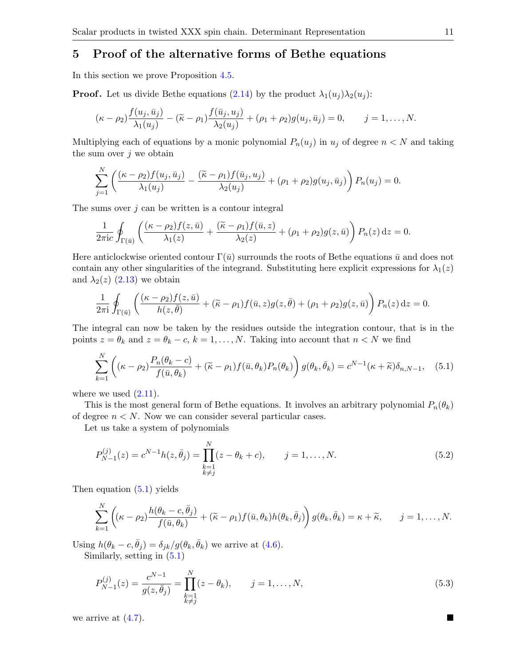# <span id="page-10-0"></span>5 Proof of the alternative forms of Bethe equations

In this section we prove Proposition [4.5.](#page-9-1)

**Proof.** Let us divide Bethe equations [\(2.14\)](#page-5-1) by the product  $\lambda_1(u_i)\lambda_2(u_j)$ :

$$
(\kappa - \rho_2) \frac{f(u_j, \bar{u}_j)}{\lambda_1(u_j)} - (\widetilde{\kappa} - \rho_1) \frac{f(\bar{u}_j, u_j)}{\lambda_2(u_j)} + (\rho_1 + \rho_2) g(u_j, \bar{u}_j) = 0, \qquad j = 1, \ldots, N.
$$

Multiplying each of equations by a monic polynomial  $P_n(u_j)$  in  $u_j$  of degree  $n < N$  and taking the sum over  $j$  we obtain

$$
\sum_{j=1}^N \left( \frac{(\kappa - \rho_2) f(u_j, \bar{u}_j)}{\lambda_1(u_j)} - \frac{(\widetilde{\kappa} - \rho_1) f(\bar{u}_j, u_j)}{\lambda_2(u_j)} + (\rho_1 + \rho_2) g(u_j, \bar{u}_j) \right) P_n(u_j) = 0.
$$

The sums over  $j$  can be written is a contour integral

$$
\frac{1}{2\pi i c}\oint_{\Gamma(\bar{u})}\left(\frac{(\kappa-\rho_2)f(z,\bar{u})}{\lambda_1(z)}+\frac{(\widetilde{\kappa}-\rho_1)f(\bar{u},z)}{\lambda_2(z)}+(\rho_1+\rho_2)g(z,\bar{u})\right)P_n(z)\,\mathrm{d}z=0.
$$

Here anticlockwise oriented contour  $\Gamma(\bar{u})$  surrounds the roots of Bethe equations  $\bar{u}$  and does not contain any other singularities of the integrand. Substituting here explicit expressions for  $\lambda_1(z)$ and  $\lambda_2(z)$  [\(2.13\)](#page-4-2) we obtain

$$
\frac{1}{2\pi i} \oint_{\Gamma(\bar{u})} \left( \frac{(\kappa - \rho_2) f(z, \bar{u})}{h(z, \bar{\theta})} + (\widetilde{\kappa} - \rho_1) f(\bar{u}, z) g(z, \bar{\theta}) + (\rho_1 + \rho_2) g(z, \bar{u}) \right) P_n(z) dz = 0.
$$

The integral can now be taken by the residues outside the integration contour, that is in the points  $z = \theta_k$  and  $z = \theta_k - c$ ,  $k = 1, ..., N$ . Taking into account that  $n < N$  we find

<span id="page-10-1"></span>
$$
\sum_{k=1}^{N} \left( (\kappa - \rho_2) \frac{P_n(\theta_k - c)}{f(\bar{u}, \theta_k)} + (\tilde{\kappa} - \rho_1) f(\bar{u}, \theta_k) P_n(\theta_k) \right) g(\theta_k, \bar{\theta}_k) = c^{N-1} (\kappa + \tilde{\kappa}) \delta_{n, N-1}, \quad (5.1)
$$

where we used  $(2.11)$ .

This is the most general form of Bethe equations. It involves an arbitrary polynomial  $P_n(\theta_k)$ of degree  $n \leq N$ . Now we can consider several particular cases.

Let us take a system of polynomials

<span id="page-10-2"></span>
$$
P_{N-1}^{(j)}(z) = c^{N-1}h(z, \bar{\theta}_j) = \prod_{\substack{k=1\\k \neq j}}^{N} (z - \theta_k + c), \qquad j = 1, \dots, N.
$$
 (5.2)

Then equation [\(5.1\)](#page-10-1) yields

$$
\sum_{k=1}^N \left( (\kappa - \rho_2) \frac{h(\theta_k - c, \bar{\theta}_j)}{f(\bar{u}, \theta_k)} + (\widetilde{\kappa} - \rho_1) f(\bar{u}, \theta_k) h(\theta_k, \bar{\theta}_j) \right) g(\theta_k, \bar{\theta}_k) = \kappa + \widetilde{\kappa}, \qquad j = 1, \ldots, N.
$$

Using  $h(\theta_k - c, \bar{\theta}_j) = \delta_{jk}/g(\theta_k, \bar{\theta}_k)$  we arrive at [\(4.6\)](#page-9-2). Similarly, setting in [\(5.1\)](#page-10-1)

<span id="page-10-3"></span>
$$
P_{N-1}^{(j)}(z) = \frac{c^{N-1}}{g(z, \bar{\theta}_j)} = \prod_{\substack{k=1\\k \neq j}}^{N} (z - \theta_k), \qquad j = 1, \dots, N,
$$
\n(5.3)

we arrive at  $(4.7)$ .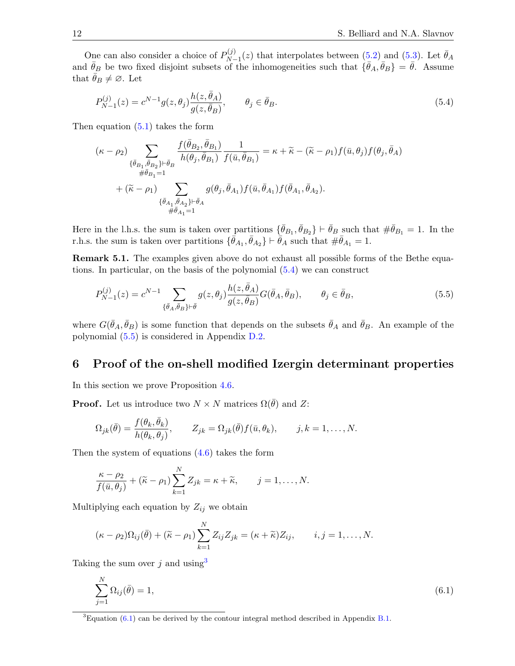One can also consider a choice of  $P_{N}^{(j)}$  $\bar{\theta}_{N-1}^{(j)}(z)$  that interpolates between  $(5.2)$  and  $(5.3)$ . Let  $\bar{\theta}_A$ and  $\bar{\theta}_B$  be two fixed disjoint subsets of the inhomogeneities such that  $\{\bar{\theta}_A, \bar{\theta}_B\} = \bar{\theta}$ . Assume that  $\theta_B \neq \emptyset$ . Let

<span id="page-11-1"></span>
$$
P_{N-1}^{(j)}(z) = c^{N-1} g(z, \theta_j) \frac{h(z, \bar{\theta}_A)}{g(z, \bar{\theta}_B)}, \qquad \theta_j \in \bar{\theta}_B.
$$
 (5.4)

Then equation [\(5.1\)](#page-10-1) takes the form

$$
\begin{split} (\kappa-\rho_2) & \sum_{\{\bar{\theta}_{B_1},\bar{\theta}_{B_2}\}\vdash \bar{\theta}_B} \frac{f(\bar{\theta}_{B_2},\bar{\theta}_{B_1})}{h(\theta_j,\bar{\theta}_{B_1})} \frac{1}{f(\bar{u},\bar{\theta}_{B_1})} = \kappa + \widetilde{\kappa} - (\widetilde{\kappa}-\rho_1) f(\bar{u},\theta_j) f(\theta_j,\bar{\theta}_A) \\ & \quad \ \ \# \bar{\theta}_{B_1=1} \\ & + (\widetilde{\kappa}-\rho_1) \sum_{\{\bar{\theta}_{A_1},\bar{\theta}_{A_2}\}\vdash \bar{\theta}_A} g(\theta_j,\bar{\theta}_{A_1}) f(\bar{u},\bar{\theta}_{A_1}) f(\bar{\theta}_{A_1},\bar{\theta}_{A_2}). \\ & \quad \ \ \, \# \bar{\theta}_{A_1=1} \end{split}
$$

Here in the l.h.s. the sum is taken over partitions  $\{\bar{\theta}_{B_1}, \bar{\theta}_{B_2}\} \vdash \bar{\theta}_B$  such that  $\#\bar{\theta}_{B_1} = 1$ . In the r.h.s. the sum is taken over partitions  $\{\bar{\theta}_{A_1}, \bar{\theta}_{A_2}\} \vdash \bar{\theta}_A$  such that  $\#\bar{\theta}_{A_1} = 1$ .

Remark 5.1. The examples given above do not exhaust all possible forms of the Bethe equations. In particular, on the basis of the polynomial [\(5.4\)](#page-11-1) we can construct

<span id="page-11-2"></span>
$$
P_{N-1}^{(j)}(z) = c^{N-1} \sum_{\{\bar{\theta}_A, \bar{\theta}_B\} \vdash \bar{\theta}} g(z, \theta_j) \frac{h(z, \bar{\theta}_A)}{g(z, \bar{\theta}_B)} G(\bar{\theta}_A, \bar{\theta}_B), \qquad \theta_j \in \bar{\theta}_B,
$$
\n
$$
(5.5)
$$

where  $G(\bar{\theta}_A, \bar{\theta}_B)$  is some function that depends on the subsets  $\bar{\theta}_A$  and  $\bar{\theta}_B$ . An example of the polynomial [\(5.5\)](#page-11-2) is considered in Appendix [D.2.](#page-24-0)

# <span id="page-11-0"></span>6 Proof of the on-shell modified Izergin determinant properties

In this section we prove Proposition [4.6.](#page-9-4)

**Proof.** Let us introduce two  $N \times N$  matrices  $\Omega(\bar{\theta})$  and Z:

$$
\Omega_{jk}(\bar{\theta}) = \frac{f(\theta_k, \bar{\theta}_k)}{h(\theta_k, \theta_j)}, \qquad Z_{jk} = \Omega_{jk}(\bar{\theta}) f(\bar{u}, \theta_k), \qquad j, k = 1, \dots, N.
$$

Then the system of equations  $(4.6)$  takes the form

$$
\frac{\kappa - \rho_2}{f(\bar{u}, \theta_j)} + (\tilde{\kappa} - \rho_1) \sum_{k=1}^N Z_{jk} = \kappa + \tilde{\kappa}, \qquad j = 1, \dots, N.
$$

Multiplying each equation by  $Z_{ij}$  we obtain

$$
(\kappa - \rho_2)\Omega_{ij}(\bar{\theta}) + (\widetilde{\kappa} - \rho_1)\sum_{k=1}^N Z_{ij}Z_{jk} = (\kappa + \widetilde{\kappa})Z_{ij}, \qquad i, j = 1, \ldots, N.
$$

Taking the sum over j and using  $3$ 

<span id="page-11-4"></span>
$$
\sum_{j=1}^{N} \Omega_{ij}(\bar{\theta}) = 1,\tag{6.1}
$$

<span id="page-11-3"></span> ${}^{3}$ Equation [\(6.1\)](#page-11-4) can be derived by the contour integral method described in Appendix [B.1.](#page-20-2)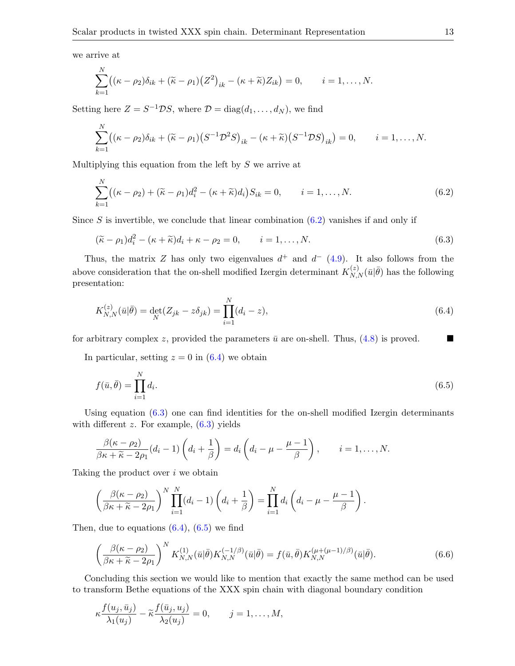we arrive at

 $\mathbf{v}$ 

$$
\sum_{k=1}^N ((\kappa - \rho_2)\delta_{ik} + (\widetilde{\kappa} - \rho_1)(Z^2)_{ik} - (\kappa + \widetilde{\kappa})Z_{ik}) = 0, \qquad i = 1, \ldots, N.
$$

Setting here  $Z = S^{-1} \mathcal{D} S$ , where  $\mathcal{D} = \text{diag}(d_1, \dots, d_N)$ , we find

$$
\sum_{k=1}^N \bigl( (\kappa - \rho_2) \delta_{ik} + (\widetilde{\kappa} - \rho_1) \bigl( S^{-1} \mathcal{D}^2 S \bigr)_{ik} - (\kappa + \widetilde{\kappa}) \bigl( S^{-1} \mathcal{D} S \bigr)_{ik} \bigr) = 0, \qquad i = 1, \ldots, N.
$$

Multiplying this equation from the left by  $S$  we arrive at

<span id="page-12-0"></span>
$$
\sum_{k=1}^{N} ((\kappa - \rho_2) + (\tilde{\kappa} - \rho_1)d_i^2 - (\kappa + \tilde{\kappa})d_i)S_{ik} = 0, \qquad i = 1, ..., N.
$$
 (6.2)

Since S is invertible, we conclude that linear combination  $(6.2)$  vanishes if and only if

<span id="page-12-2"></span>
$$
(\widetilde{\kappa} - \rho_1)d_i^2 - (\kappa + \widetilde{\kappa})d_i + \kappa - \rho_2 = 0, \qquad i = 1, \dots, N. \tag{6.3}
$$

Thus, the matrix Z has only two eigenvalues  $d^+$  and  $d^-$  [\(4.9\)](#page-9-5). It also follows from the above consideration that the on-shell modified Izergin determinant  $K_{N,N}^{(z)}(\bar{u}|\bar{\theta})$  has the following presentation:

<span id="page-12-1"></span>
$$
K_{N,N}^{(z)}(\bar{u}|\bar{\theta}) = \det_N(Z_{jk} - z\delta_{jk}) = \prod_{i=1}^N (d_i - z),\tag{6.4}
$$

for arbitrary complex z, provided the parameters  $\bar{u}$  are on-shell. Thus, [\(4.8\)](#page-9-6) is proved.

In particular, setting  $z = 0$  in  $(6.4)$  we obtain

<span id="page-12-3"></span>
$$
f(\bar{u}, \bar{\theta}) = \prod_{i=1}^{N} d_i.
$$
\n
$$
(6.5)
$$

Using equation [\(6.3\)](#page-12-2) one can find identities for the on-shell modified Izergin determinants with different  $z$ . For example,  $(6.3)$  yields

$$
\frac{\beta(\kappa-\rho_2)}{\beta\kappa+\widetilde{\kappa}-2\rho_1}(d_i-1)\left(d_i+\frac{1}{\beta}\right)=d_i\left(d_i-\mu-\frac{\mu-1}{\beta}\right), \qquad i=1,\ldots,N.
$$

Taking the product over i we obtain

$$
\left(\frac{\beta(\kappa-\rho_2)}{\beta\kappa+\widetilde{\kappa}-2\rho_1}\right)^N\prod_{i=1}^N(d_i-1)\left(d_i+\frac{1}{\beta}\right)=\prod_{i=1}^N d_i\left(d_i-\mu-\frac{\mu-1}{\beta}\right).
$$

Then, due to equations  $(6.4)$ ,  $(6.5)$  we find

<span id="page-12-4"></span>
$$
\left(\frac{\beta(\kappa-\rho_2)}{\beta\kappa+\widetilde{\kappa}-2\rho_1}\right)^N K_{N,N}^{(1)}(\bar{u}|\bar{\theta})K_{N,N}^{(-1/\beta)}(\bar{u}|\bar{\theta}) = f(\bar{u},\bar{\theta})K_{N,N}^{(\mu+(\mu-1)/\beta)}(\bar{u}|\bar{\theta}).\tag{6.6}
$$

Concluding this section we would like to mention that exactly the same method can be used to transform Bethe equations of the XXX spin chain with diagonal boundary condition

$$
\kappa \frac{f(u_j, \bar{u}_j)}{\lambda_1(u_j)} - \widetilde{\kappa} \frac{f(\bar{u}_j, u_j)}{\lambda_2(u_j)} = 0, \qquad j = 1, \dots, M,
$$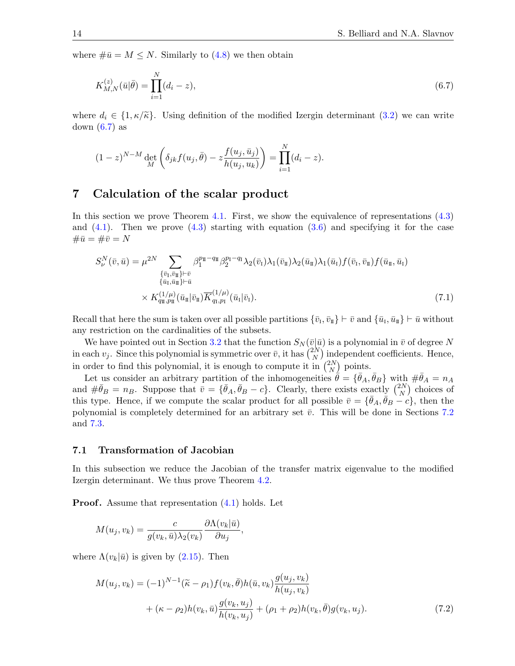where  $\#\bar{u} = M \leq N$ . Similarly to [\(4.8\)](#page-9-6) we then obtain

<span id="page-13-2"></span>
$$
K_{M,N}^{(z)}(\bar{u}|\bar{\theta}) = \prod_{i=1}^{N} (d_i - z),
$$
\n(6.7)

where  $d_i \in \{1, \kappa/\widetilde{\kappa}\}\.$  Using definition of the modified Izergin determinant [\(3.2\)](#page-6-1) we can write down  $(6.7)$  as

$$
(1-z)^{N-M} \det_M \left( \delta_{jk} f(u_j, \bar{\theta}) - z \frac{f(u_j, \bar{u}_j)}{h(u_j, u_k)} \right) = \prod_{i=1}^N (d_i - z).
$$

# <span id="page-13-0"></span>7 Calculation of the scalar product

In this section we prove Theorem [4.1.](#page-8-2) First, we show the equivalence of representations [\(4.3\)](#page-8-3) and  $(4.1)$ . Then we prove  $(4.3)$  starting with equation  $(3.6)$  and specifying it for the case  $\#\bar{u} = \#\bar{v} = N$ 

<span id="page-13-4"></span>
$$
S_{\nu}^{N}(\bar{v}, \bar{u}) = \mu^{2N} \sum_{\substack{\{\bar{v}_{\mathrm{I}}, \bar{v}_{\mathrm{II}}\} \vdash \bar{v} \\ \{\bar{u}_{\mathrm{I}}, \bar{u}_{\mathrm{II}}\} \vdash \bar{u} \\ \times K_{q_{\mathrm{II}}, p_{\mathrm{II}}}^{(1/\mu)}(\bar{u}_{\mathrm{II}} | \bar{v}_{\mathrm{II}}) \overline{K}_{q_{\mathrm{I}}, p_{\mathrm{I}}}^{(1/\mu)}(\bar{u}_{\mathrm{I}} | \bar{v}_{\mathrm{I}}).
$$
\n(7.1)

Recall that here the sum is taken over all possible partitions  $\{\bar{v}_{\scriptscriptstyle \rm I},\bar{v}_{\scriptscriptstyle \rm I\hspace{-1pt}I}\}\vdash \bar{v}$  and  $\{\bar{u}_{\scriptscriptstyle \rm I},\bar{u}_{\scriptscriptstyle \rm I\hspace{-1pt}I}\}\vdash \bar{u}$  without any restriction on the cardinalities of the subsets.

We have pointed out in Section [3.2](#page-6-4) that the function  $S_N(\bar{v}|\bar{u})$  is a polynomial in  $\bar{v}$  of degree N in each  $v_j$ . Since this polynomial is symmetric over  $\bar{v}$ , it has  $\binom{2N}{N}$  $\binom{2N}{N}$  independent coefficients. Hence, in order to find this polynomial, it is enough to compute it in  $\binom{2N}{N}$  $\binom{2N}{N}$  points.

Let us consider an arbitrary partition of the inhomogeneities  $\hat{\theta} = {\{\bar{\theta}_A, \bar{\theta}_B\}}$  with  $\#\bar{\theta}_A = n_A$ and  $\#\bar{\theta}_B = n_B$ . Suppose that  $\bar{v} = {\bar{\theta}_A, \bar{\theta}_B - c}$ . Clearly, there exists exactly  $\binom{2N}{N}$  $\binom{2N}{N}$  choices of this type. Hence, if we compute the scalar product for all possible  $\bar{v} = {\bar{\theta}_A, \bar{\theta}_B - c}$ , then the polynomial is completely determined for an arbitrary set  $\bar{v}$ . This will be done in Sections [7.2](#page-15-0) and [7.3.](#page-18-0)

#### <span id="page-13-1"></span>7.1 Transformation of Jacobian

In this subsection we reduce the Jacobian of the transfer matrix eigenvalue to the modified Izergin determinant. We thus prove Theorem [4.2.](#page-8-6)

**Proof.** Assume that representation  $(4.1)$  holds. Let

$$
M(u_j,v_k)=\frac{c}{g(v_k,\bar u)\lambda_2(v_k)}\frac{\partial\Lambda(v_k|\bar u)}{\partial u_j},
$$

where  $\Lambda(v_k|\bar{u})$  is given by [\(2.15\)](#page-5-2). Then

<span id="page-13-3"></span>
$$
M(u_j, v_k) = (-1)^{N-1} (\tilde{\kappa} - \rho_1) f(v_k, \bar{\theta}) h(\bar{u}, v_k) \frac{g(u_j, v_k)}{h(u_j, v_k)} + (\kappa - \rho_2) h(v_k, \bar{u}) \frac{g(v_k, u_j)}{h(v_k, u_j)} + (\rho_1 + \rho_2) h(v_k, \bar{\theta}) g(v_k, u_j).
$$
 (7.2)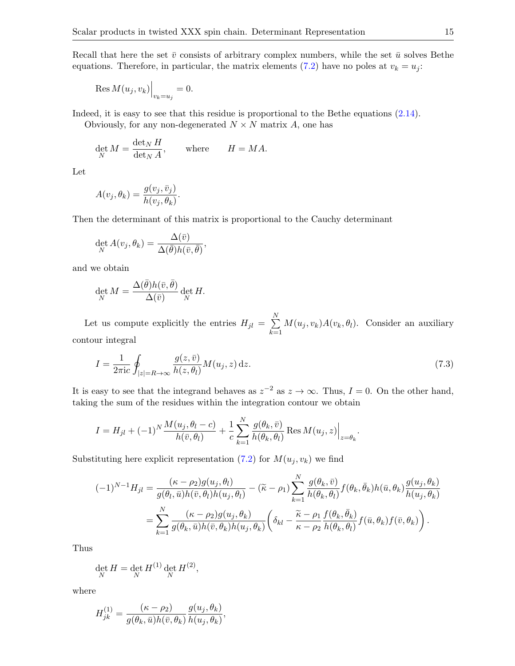Recall that here the set  $\bar{v}$  consists of arbitrary complex numbers, while the set  $\bar{u}$  solves Bethe equations. Therefore, in particular, the matrix elements [\(7.2\)](#page-13-3) have no poles at  $v_k = u_j$ :

$$
\operatorname{Res} M(u_j, v_k)\Big|_{v_k=u_j} = 0.
$$

Indeed, it is easy to see that this residue is proportional to the Bethe equations [\(2.14\)](#page-5-1).

Obviously, for any non-degenerated  $N \times N$  matrix A, one has

$$
\det_N M = \frac{\det_N H}{\det_N A}, \quad \text{where} \quad H = MA.
$$

Let

$$
A(v_j, \theta_k) = \frac{g(v_j, \bar{v}_j)}{h(v_j, \theta_k)}.
$$

Then the determinant of this matrix is proportional to the Cauchy determinant

$$
\det_N A(v_j, \theta_k) = \frac{\Delta(\bar{v})}{\Delta(\bar{\theta})h(\bar{v}, \bar{\theta})},
$$

and we obtain

$$
\det_N M = \frac{\Delta(\bar{\theta})h(\bar{v}, \bar{\theta})}{\Delta(\bar{v})} \det_N H.
$$

Let us compute explicitly the entries  $H_{jl} = \sum_{l=1}^{N}$  $_{k=1}$  $M(u_j, v_k)A(v_k, \theta_l)$ . Consider an auxiliary contour integral

<span id="page-14-0"></span>
$$
I = \frac{1}{2\pi i c} \oint_{|z|=R \to \infty} \frac{g(z,\bar{v})}{h(z,\theta_l)} M(u_j,z) dz.
$$
 (7.3)

It is easy to see that the integrand behaves as  $z^{-2}$  as  $z \to \infty$ . Thus,  $I = 0$ . On the other hand, taking the sum of the residues within the integration contour we obtain

$$
I = H_{jl} + (-1)^N \frac{M(u_j, \theta_l - c)}{h(\bar{v}, \theta_l)} + \frac{1}{c} \sum_{k=1}^N \frac{g(\theta_k, \bar{v})}{h(\theta_k, \theta_l)} \operatorname{Res} M(u_j, z)\Big|_{z=\theta_k}.
$$

Substituting here explicit representation [\(7.2\)](#page-13-3) for  $M(u_j, v_k)$  we find

$$
(-1)^{N-1}H_{jl} = \frac{(\kappa - \rho_2)g(u_j, \theta_l)}{g(\theta_l, \bar{u})h(\bar{v}, \theta_l)h(u_j, \theta_l)} - (\tilde{\kappa} - \rho_1) \sum_{k=1}^N \frac{g(\theta_k, \bar{v})}{h(\theta_k, \theta_l)} f(\theta_k, \bar{\theta}_k)h(\bar{u}, \theta_k) \frac{g(u_j, \theta_k)}{h(u_j, \theta_k)}
$$
  
= 
$$
\sum_{k=1}^N \frac{(\kappa - \rho_2)g(u_j, \theta_k)}{g(\theta_k, \bar{u})h(\bar{v}, \theta_k)h(u_j, \theta_k)} \left(\delta_{kl} - \frac{\tilde{\kappa} - \rho_1}{\kappa - \rho_2} \frac{f(\theta_k, \bar{\theta}_k)}{h(\theta_k, \theta_l)} f(\bar{u}, \theta_k) f(\bar{v}, \theta_k)\right).
$$

Thus

$$
\det_N H = \det_N H^{(1)} \det_N H^{(2)},
$$

where

$$
H_{jk}^{(1)} = \frac{(\kappa - \rho_2)}{g(\theta_k, \bar{u})h(\bar{v}, \theta_k)} \frac{g(u_j, \theta_k)}{h(u_j, \theta_k)},
$$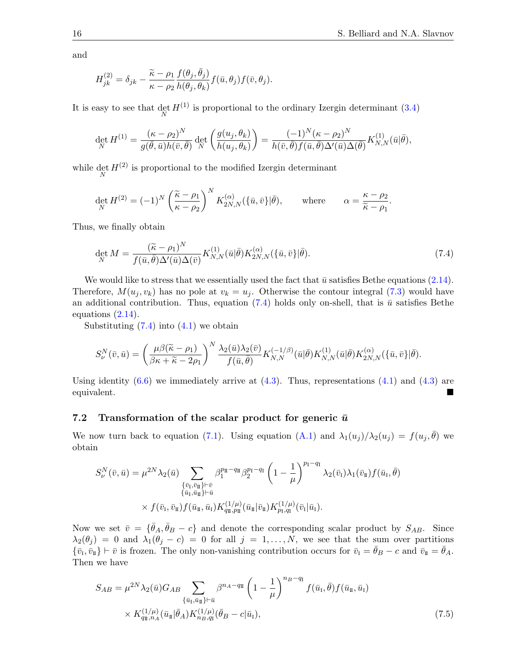and

$$
H_{jk}^{(2)} = \delta_{jk} - \frac{\widetilde{\kappa} - \rho_1}{\kappa - \rho_2} \frac{f(\theta_j, \bar{\theta}_j)}{h(\theta_j, \theta_k)} f(\bar{u}, \theta_j) f(\bar{v}, \theta_j).
$$

It is easy to see that  $\det_N H^{(1)}$  is proportional to the ordinary Izergin determinant [\(3.4\)](#page-6-5)

$$
\det_N H^{(1)} = \frac{(\kappa - \rho_2)^N}{g(\bar{\theta}, \bar{u})h(\bar{v}, \bar{\theta})} \det_N \left( \frac{g(u_j, \theta_k)}{h(u_j, \theta_k)} \right) = \frac{(-1)^N (\kappa - \rho_2)^N}{h(\bar{v}, \bar{\theta})f(\bar{u}, \bar{\theta})\Delta'(\bar{u})\Delta(\bar{\theta})} K_{N,N}^{(1)}(\bar{u}|\bar{\theta}),
$$

while  $\det_N H^{(2)}$  is proportional to the modified Izergin determinant

$$
\det_N H^{(2)} = (-1)^N \left( \frac{\tilde{\kappa} - \rho_1}{\kappa - \rho_2} \right)^N K_{2N,N}^{(\alpha)}(\{\bar{u}, \bar{v}\} | \bar{\theta}), \quad \text{where} \quad \alpha = \frac{\kappa - \rho_2}{\tilde{\kappa} - \rho_1}.
$$

Thus, we finally obtain

<span id="page-15-1"></span>
$$
\det_N M = \frac{(\widetilde{\kappa} - \rho_1)^N}{f(\bar{u}, \bar{\theta}) \Delta'(\bar{u}) \Delta(\bar{v})} K_{N,N}^{(1)}(\bar{u}|\bar{\theta}) K_{2N,N}^{(\alpha)}(\{\bar{u}, \bar{v}\}|\bar{\theta}).
$$
\n(7.4)

We would like to stress that we essentially used the fact that  $\bar{u}$  satisfies Bethe equations [\(2.14\)](#page-5-1). Therefore,  $M(u_i, v_k)$  has no pole at  $v_k = u_i$ . Otherwise the contour integral [\(7.3\)](#page-14-0) would have an additional contribution. Thus, equation [\(7.4\)](#page-15-1) holds only on-shell, that is  $\bar{u}$  satisfies Bethe equations [\(2.14\)](#page-5-1).

Substituting  $(7.4)$  into  $(4.1)$  we obtain

$$
S_{\nu}^{N}(\bar{v},\bar{u}) = \left(\frac{\mu\beta(\tilde{\kappa}-\rho_{1})}{\beta\kappa+\tilde{\kappa}-2\rho_{1}}\right)^{N} \frac{\lambda_{2}(\bar{u})\lambda_{2}(\bar{v})}{f(\bar{u},\bar{\theta})} K_{N,N}^{(-1/\beta)}(\bar{u}|\bar{\theta}) K_{N,N}^{(1)}(\bar{u}|\bar{\theta}) K_{2N,N}^{(\alpha)}(\{\bar{u},\bar{v}\}|\bar{\theta}).
$$

Using identity  $(6.6)$  we immediately arrive at  $(4.3)$ . Thus, representations  $(4.1)$  and  $(4.3)$  are equivalent.

#### <span id="page-15-0"></span>7.2 Transformation of the scalar product for generic  $\bar{u}$

We now turn back to equation [\(7.1\)](#page-13-4). Using equation [\(A.1\)](#page-19-2) and  $\lambda_1(u_j)/\lambda_2(u_j) = f(u_j, \bar{\theta})$  we obtain

$$
S_{\nu}^{N}(\bar{v}, \bar{u}) = \mu^{2N} \lambda_2(\bar{u}) \sum_{\substack{\{\bar{v}_\mathrm{I}, \bar{v}_\mathrm{II}\} \vdash \bar{v} \\{\bar{u}_\mathrm{I}, \bar{u}_\mathrm{II}\} \vdash \bar{u}}} \beta_{1}^{p_{\mathrm{I}} - q_{\mathrm{I}}} \beta_{2}^{p_{\mathrm{I}} - q_{\mathrm{I}}} \left(1 - \frac{1}{\mu}\right)^{p_{\mathrm{I}} - q_{\mathrm{I}}} \lambda_2(\bar{v}_\mathrm{I}) \lambda_1(\bar{v}_\mathrm{I}) f(\bar{u}_\mathrm{I}, \bar{\theta})
$$

$$
\times f(\bar{v}_\mathrm{I}, \bar{v}_\mathrm{II}) f(\bar{u}_\mathrm{I}, \bar{u}_\mathrm{I}) K_{q_{\mathrm{I\!I}}, p_{\mathrm{I\!I}}}^{(1/\mu)}(\bar{u}_\mathrm{I} | \bar{v}_\mathrm{I}) K_{p_{\mathrm{I}}, q_{\mathrm{I}}}^{(1/\mu)}(\bar{v}_\mathrm{I} | \bar{u}_\mathrm{I}).
$$

Now we set  $\bar{v} = {\bar{\theta}_A, \bar{\theta}_B - c}$  and denote the corresponding scalar product by  $S_{AB}$ . Since  $\lambda_2(\theta_j) = 0$  and  $\lambda_1(\theta_j - c) = 0$  for all  $j = 1, ..., N$ , we see that the sum over partitions  $\{\bar{v}_I, \bar{v}_{\bar{u}}\} \vdash \bar{v}$  is frozen. The only non-vanishing contribution occurs for  $\bar{v}_{\bar{u}} = \bar{\theta}_B - c$  and  $\bar{v}_{\bar{u}} = \bar{\theta}_A$ . Then we have

<span id="page-15-2"></span>
$$
S_{AB} = \mu^{2N} \lambda_2(\bar{u}) G_{AB} \sum_{\{\bar{u}_I, \bar{u}_I\} \vdash \bar{u}} \beta^{n_A - q_{\bar{u}}} \left(1 - \frac{1}{\mu}\right)^{n_B - q_{\bar{u}}} f(\bar{u}_I, \bar{\theta}) f(\bar{u}_{\bar{u}}, \bar{u}_I) \times K_{q_{\bar{u}}, n_A}^{(1/\mu)} (\bar{u}_{\bar{u}} | \bar{\theta}_A) K_{n_B, q_{\bar{u}}}^{(1/\mu)} (\bar{\theta}_B - c | \bar{u}_I),
$$
\n(7.5)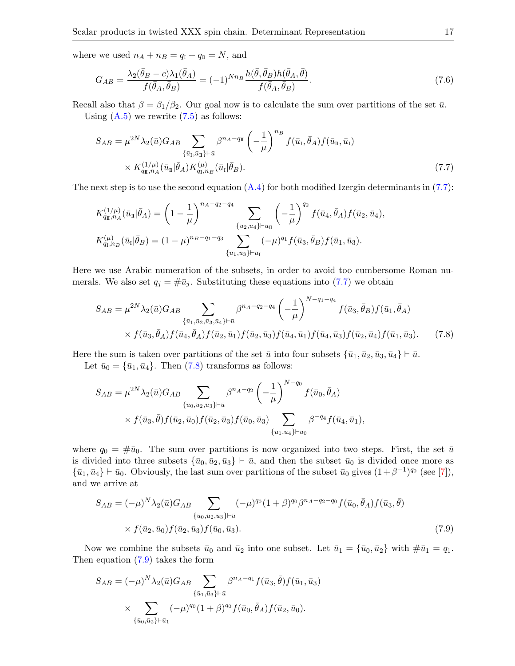where we used  $n_A + n_B = q_I + q_{\text{II}} = N$ , and

<span id="page-16-3"></span>
$$
G_{AB} = \frac{\lambda_2(\bar{\theta}_B - c)\lambda_1(\bar{\theta}_A)}{f(\bar{\theta}_A, \bar{\theta}_B)} = (-1)^{Nn_B} \frac{h(\bar{\theta}, \bar{\theta}_B)h(\bar{\theta}_A, \bar{\theta})}{f(\bar{\theta}_A, \bar{\theta}_B)}.
$$
\n(7.6)

Recall also that  $\beta = \beta_1/\beta_2$ . Our goal now is to calculate the sum over partitions of the set  $\bar{u}$ .

Using  $(A.5)$  we rewrite  $(7.5)$  as follows:

<span id="page-16-0"></span>
$$
S_{AB} = \mu^{2N} \lambda_2(\bar{u}) G_{AB} \sum_{\{\bar{u}_I, \bar{u}_I\} \vdash \bar{u}} \beta^{n_A - q_{\bar{u}}} \left( -\frac{1}{\mu} \right)^{n_B} f(\bar{u}_I, \bar{\theta}_A) f(\bar{u}_{\bar{u}}, \bar{u}_I) \times K_{q_{\bar{u}}, n_A}^{(1/\mu)} (\bar{u}_{\bar{u}} | \bar{\theta}_A) K_{q_{\bar{u}}, n_B}^{(\mu)} (\bar{u}_I | \bar{\theta}_B).
$$
\n(7.7)

The next step is to use the second equation  $(A.4)$  for both modified Izergin determinants in  $(7.7)$ :

$$
K_{q_{\rm I},n_A}^{(1/\mu)}(\bar{u}_{\rm I}|\bar{\theta}_A) = \left(1 - \frac{1}{\mu}\right)^{n_A - q_2 - q_4} \sum_{\{\bar{u}_2,\bar{u}_4\} \vdash \bar{u}_{\rm I\!I}} \left(-\frac{1}{\mu}\right)^{q_2} f(\bar{u}_4, \bar{\theta}_A) f(\bar{u}_2, \bar{u}_4),
$$
  

$$
K_{q_{\rm I},n_B}^{(\mu)}(\bar{u}_1|\bar{\theta}_B) = (1 - \mu)^{n_B - q_1 - q_3} \sum_{\{\bar{u}_1,\bar{u}_3\} \vdash \bar{u}_{\rm I}} (-\mu)^{q_1} f(\bar{u}_3, \bar{\theta}_B) f(\bar{u}_1, \bar{u}_3).
$$

Here we use Arabic numeration of the subsets, in order to avoid too cumbersome Roman numerals. We also set  $q_j = #\bar{u}_j$ . Substituting these equations into [\(7.7\)](#page-16-0) we obtain

<span id="page-16-1"></span>
$$
S_{AB} = \mu^{2N} \lambda_2(\bar{u}) G_{AB} \sum_{\{\bar{u}_1, \bar{u}_2, \bar{u}_3, \bar{u}_4\} \vdash \bar{u}} \beta^{n_A - q_2 - q_4} \left(-\frac{1}{\mu}\right)^{N - q_1 - q_4} f(\bar{u}_3, \bar{\theta}_B) f(\bar{u}_1, \bar{\theta}_A) \times f(\bar{u}_3, \bar{\theta}_A) f(\bar{u}_4, \bar{\theta}_A) f(\bar{u}_2, \bar{u}_1) f(\bar{u}_2, \bar{u}_3) f(\bar{u}_4, \bar{u}_1) f(\bar{u}_4, \bar{u}_3) f(\bar{u}_2, \bar{u}_4) f(\bar{u}_1, \bar{u}_3).
$$
(7.8)

Here the sum is taken over partitions of the set  $\bar{u}$  into four subsets  $\{\bar{u}_1, \bar{u}_2, \bar{u}_3, \bar{u}_4\} \vdash \bar{u}$ .

Let  $\bar{u}_0 = {\bar{u}_1, \bar{u}_4}$ . Then [\(7.8\)](#page-16-1) transforms as follows:

$$
S_{AB} = \mu^{2N} \lambda_2(\bar{u}) G_{AB} \sum_{\{\bar{u}_0, \bar{u}_2, \bar{u}_3\} \vdash \bar{u}} \beta^{n_A - q_2} \left( -\frac{1}{\mu} \right)^{N - q_0} f(\bar{u}_0, \bar{\theta}_A) \times f(\bar{u}_3, \bar{\theta}) f(\bar{u}_2, \bar{u}_0) f(\bar{u}_2, \bar{u}_3) f(\bar{u}_0, \bar{u}_3) \sum_{\{\bar{u}_1, \bar{u}_4\} \vdash \bar{u}_0} \beta^{-q_4} f(\bar{u}_4, \bar{u}_1),
$$

where  $q_0 = #\bar{u}_0$ . The sum over partitions is now organized into two steps. First, the set  $\bar{u}$ is divided into three subsets  $\{\bar{u}_0, \bar{u}_2, \bar{u}_3\} \vdash \bar{u}$ , and then the subset  $\bar{u}_0$  is divided once more as  $\{\bar{u}_1, \bar{u}_4\} \vdash \bar{u}_0$ . Obviously, the last sum over partitions of the subset  $\bar{u}_0$  gives  $(1+\beta^{-1})^{q_0}$  (see [\[7\]](#page-28-12)), and we arrive at

<span id="page-16-2"></span>
$$
S_{AB} = (-\mu)^N \lambda_2(\bar{u}) G_{AB} \sum_{\{\bar{u}_0, \bar{u}_2, \bar{u}_3\} \vdash \bar{u}} (-\mu)^{q_0} (1+\beta)^{q_0} \beta^{n_A - q_2 - q_0} f(\bar{u}_0, \bar{\theta}_A) f(\bar{u}_3, \bar{\theta})
$$
  
 
$$
\times f(\bar{u}_2, \bar{u}_0) f(\bar{u}_2, \bar{u}_3) f(\bar{u}_0, \bar{u}_3).
$$
 (7.9)

Now we combine the subsets  $\bar{u}_0$  and  $\bar{u}_2$  into one subset. Let  $\bar{u}_1 = {\bar{u}_0, \bar{u}_2}$  with  $\#\bar{u}_1 = q_1$ . Then equation [\(7.9\)](#page-16-2) takes the form

$$
S_{AB} = (-\mu)^N \lambda_2(\bar{u}) G_{AB} \sum_{\{\bar{u}_1, \bar{u}_3\} \vdash \bar{u}} \beta^{n_A - q_1} f(\bar{u}_3, \bar{\theta}) f(\bar{u}_1, \bar{u}_3)
$$

$$
\times \sum_{\{\bar{u}_0, \bar{u}_2\} \vdash \bar{u}_1} (-\mu)^{q_0} (1+\beta)^{q_0} f(\bar{u}_0, \bar{\theta}_A) f(\bar{u}_2, \bar{u}_0).
$$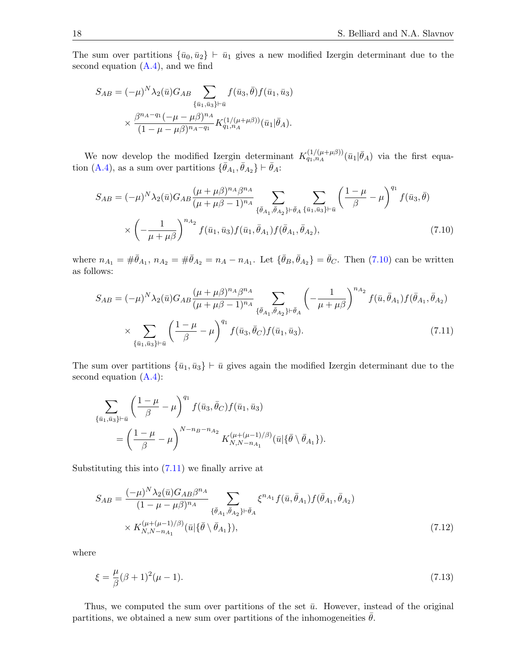The sum over partitions  $\{\bar{u}_0, \bar{u}_2\} \vdash \bar{u}_1$  gives a new modified Izergin determinant due to the second equation  $(A.4)$ , and we find

$$
S_{AB} = (-\mu)^N \lambda_2(\bar{u}) G_{AB} \sum_{\{\bar{u}_1, \bar{u}_3\} \vdash \bar{u}} f(\bar{u}_3, \bar{\theta}) f(\bar{u}_1, \bar{u}_3)
$$

$$
\times \frac{\beta^{n_A - q_1} (-\mu - \mu \beta)^{n_A}}{(1 - \mu - \mu \beta)^{n_A - q_1}} K_{q_1, n_A}^{(1/(\mu + \mu \beta))} (\bar{u}_1 | \bar{\theta}_A).
$$

We now develop the modified Izergin determinant  $K_{q_1,n_A}^{(1/(\mu+\mu\beta))}(\bar{u}_1|\bar{\theta}_A)$  via the first equa-tion [\(A.4\)](#page-19-3), as a sum over partitions  $\{\bar{\theta}_{A_1}, \bar{\theta}_{A_2}\} \vdash \bar{\theta}_A$ :

<span id="page-17-0"></span>
$$
S_{AB} = (-\mu)^N \lambda_2(\bar{u}) G_{AB} \frac{(\mu + \mu \beta)^{n_A} \beta^{n_A}}{(\mu + \mu \beta - 1)^{n_A}} \sum_{\{\bar{\theta}_{A_1}, \bar{\theta}_{A_2}\} \vdash \bar{\theta}_A} \sum_{\{\bar{u}_1, \bar{u}_3\} \vdash \bar{u}} \left(\frac{1 - \mu}{\beta} - \mu\right)^{q_1} f(\bar{u}_3, \bar{\theta})
$$

$$
\times \left(-\frac{1}{\mu + \mu \beta}\right)^{n_{A_2}} f(\bar{u}_1, \bar{u}_3) f(\bar{u}_1, \bar{\theta}_{A_1}) f(\bar{\theta}_{A_1}, \bar{\theta}_{A_2}), \tag{7.10}
$$

where  $n_{A_1} = \#\bar{\theta}_{A_1}, n_{A_2} = \#\bar{\theta}_{A_2} = n_A - n_{A_1}$ . Let  $\{\bar{\theta}_B, \bar{\theta}_{A_2}\} = \bar{\theta}_C$ . Then [\(7.10\)](#page-17-0) can be written as follows:

<span id="page-17-1"></span>
$$
S_{AB} = (-\mu)^N \lambda_2(\bar{u}) G_{AB} \frac{(\mu + \mu \beta)^{n_A} \beta^{n_A}}{(\mu + \mu \beta - 1)^{n_A}} \sum_{\{\bar{\theta}_{A_1}, \bar{\theta}_{A_2}\} \vdash \bar{\theta}_A} \left( -\frac{1}{\mu + \mu \beta} \right)^{n_{A_2}} f(\bar{u}, \bar{\theta}_{A_1}) f(\bar{\theta}_{A_1}, \bar{\theta}_{A_2})
$$

$$
\times \sum_{\{\bar{u}_1, \bar{u}_3\} \vdash \bar{u}} \left( \frac{1 - \mu}{\beta} - \mu \right)^{q_1} f(\bar{u}_3, \bar{\theta}_C) f(\bar{u}_1, \bar{u}_3). \tag{7.11}
$$

The sum over partitions  $\{\bar{u}_1, \bar{u}_3\} \vdash \bar{u}$  gives again the modified Izergin determinant due to the second equation [\(A.4\)](#page-19-3):

$$
\sum_{\{\bar{u}_1,\bar{u}_3\}\vdash \bar{u}} \left(\frac{1-\mu}{\beta} - \mu\right)^{q_1} f(\bar{u}_3, \bar{\theta}_C) f(\bar{u}_1, \bar{u}_3) \n= \left(\frac{1-\mu}{\beta} - \mu\right)^{N-n_B-n_{A_2}} K_{N,N-n_{A_1}}^{(\mu+(\mu-1)/\beta)}(\bar{u}|\{\bar{\theta}\setminus \bar{\theta}_{A_1}\}).
$$

Substituting this into  $(7.11)$  we finally arrive at

<span id="page-17-2"></span>
$$
S_{AB} = \frac{(-\mu)^N \lambda_2(\bar{u}) G_{AB} \beta^{n_A}}{(1 - \mu - \mu \beta)^{n_A}} \sum_{\{\bar{\theta}_{A_1}, \bar{\theta}_{A_2}\} \vdash \bar{\theta}_A} \xi^{n_{A_1}} f(\bar{u}, \bar{\theta}_{A_1}) f(\bar{\theta}_{A_1}, \bar{\theta}_{A_2})
$$
  
×  $K_{N, N-n_{A_1}}^{(\mu + (\mu - 1)/\beta)} (\bar{u} | \{\bar{\theta} \setminus \bar{\theta}_{A_1}\}),$  (7.12)

where

<span id="page-17-3"></span>
$$
\xi = \frac{\mu}{\beta} (\beta + 1)^2 (\mu - 1). \tag{7.13}
$$

Thus, we computed the sum over partitions of the set  $\bar{u}$ . However, instead of the original partitions, we obtained a new sum over partitions of the inhomogeneities  $\theta$ .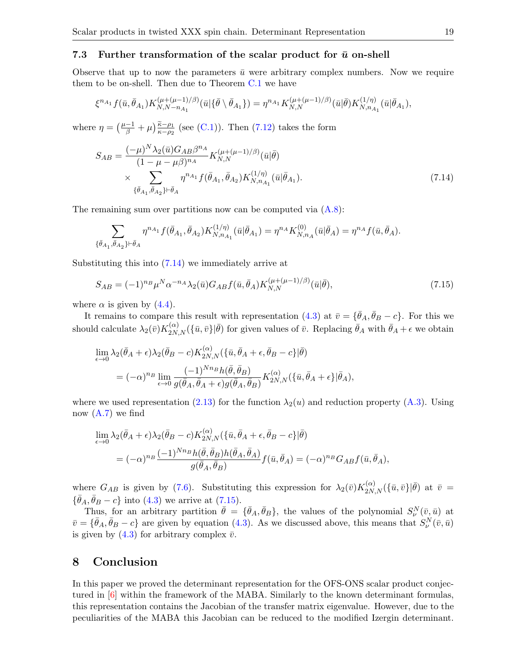#### <span id="page-18-0"></span>7.3 Further transformation of the scalar product for  $\bar{u}$  on-shell

Observe that up to now the parameters  $\bar{u}$  were arbitrary complex numbers. Now we require them to be on-shell. Then due to Theorem [C.1](#page-21-1) we have

$$
\xi^{n_{A_1}} f(\bar{u}, \bar{\theta}_{A_1}) K_{N,N-n_{A_1}}^{(\mu+(\mu-1)/\beta)}(\bar{u}|\{\bar{\theta}\setminus \bar{\theta}_{A_1}\}) = \eta^{n_{A_1}} K_{N,N}^{(\mu+(\mu-1)/\beta)}(\bar{u}|\bar{\theta}) K_{N,n_{A_1}}^{(1/\eta)}(\bar{u}|\bar{\theta}_{A_1}),
$$

where  $\eta = \left(\frac{\mu-1}{\beta} + \mu\right) \frac{\tilde{\kappa}-\rho_1}{\kappa-\rho_2}$  (see [\(C.1\)](#page-21-2)). Then [\(7.12\)](#page-17-2) takes the form

<span id="page-18-1"></span>
$$
S_{AB} = \frac{(-\mu)^N \lambda_2(\bar{u}) G_{AB} \beta^{n_A}}{(1 - \mu - \mu \beta)^{n_A}} K_{N,N}^{(\mu + (\mu - 1)/\beta)}(\bar{u}|\bar{\theta})
$$
  
 
$$
\times \sum_{\{\bar{\theta}_{A_1}, \bar{\theta}_{A_2}\} \vdash \bar{\theta}_A} \eta^{n_{A_1}} f(\bar{\theta}_{A_1}, \bar{\theta}_{A_2}) K_{N, n_{A_1}}^{(1/\eta)}(\bar{u}|\bar{\theta}_{A_1}). \tag{7.14}
$$

The remaining sum over partitions now can be computed via [\(A.8\)](#page-20-4):

$$
\sum_{\{\bar{\theta}_{A_1},\bar{\theta}_{A_2}\}\vdash \bar{\theta}_A} \eta^{n_{A_1}} f(\bar{\theta}_{A_1},\bar{\theta}_{A_2}) K_{N,n_{A_1}}^{(1/\eta)}(\bar{u}|\bar{\theta}_{A_1}) = \eta^{n_{A}} K_{N,n_{A}}^{(0)}(\bar{u}|\bar{\theta}_A) = \eta^{n_{A}} f(\bar{u},\bar{\theta}_A).
$$

Substituting this into [\(7.14\)](#page-18-1) we immediately arrive at

<span id="page-18-2"></span>
$$
S_{AB} = (-1)^{n_B} \mu^N \alpha^{-n_A} \lambda_2(\bar{u}) G_{AB} f(\bar{u}, \bar{\theta}_A) K_{N,N}^{(\mu + (\mu - 1)/\beta)}(\bar{u}|\bar{\theta}), \tag{7.15}
$$

where  $\alpha$  is given by [\(4.4\)](#page-8-7).

It remains to compare this result with representation [\(4.3\)](#page-8-3) at  $\bar{v} = {\{\bar{\theta}_A, \bar{\theta}_B - c\}}$ . For this we should calculate  $\lambda_2(\bar{v})K_{2N,N}^{(\alpha)}(\{\bar{u},\bar{v}\}|\bar{\theta})$  for given values of  $\bar{v}$ . Replacing  $\bar{\theta}_A$  with  $\bar{\theta}_A + \epsilon$  we obtain

$$
\lim_{\epsilon \to 0} \lambda_2(\bar{\theta}_A + \epsilon) \lambda_2(\bar{\theta}_B - c) K_{2N,N}^{(\alpha)}(\{\bar{u}, \bar{\theta}_A + \epsilon, \bar{\theta}_B - c\} | \bar{\theta})
$$
  
=  $(-\alpha)^{n_B} \lim_{\epsilon \to 0} \frac{(-1)^{Nn_B} h(\bar{\theta}, \bar{\theta}_B)}{g(\bar{\theta}_A, \bar{\theta}_A + \epsilon)g(\bar{\theta}_A, \bar{\theta}_B)} K_{2N,N}^{(\alpha)}(\{\bar{u}, \bar{\theta}_A + \epsilon\} | \bar{\theta}_A),$ 

where we used representation [\(2.13\)](#page-4-2) for the function  $\lambda_2(u)$  and reduction property [\(A.3\)](#page-19-4). Using now  $(A.7)$  we find

$$
\lim_{\epsilon \to 0} \lambda_2(\bar{\theta}_A + \epsilon) \lambda_2(\bar{\theta}_B - c) K_{2N,N}^{(\alpha)}(\{\bar{u}, \bar{\theta}_A + \epsilon, \bar{\theta}_B - c\} | \bar{\theta})
$$
  
=  $(-\alpha)^{n_B} \frac{(-1)^{Nn_B} h(\bar{\theta}, \bar{\theta}_B) h(\bar{\theta}_A, \bar{\theta}_A)}{g(\bar{\theta}_A, \bar{\theta}_B)} f(\bar{u}, \bar{\theta}_A) = (-\alpha)^{n_B} G_{AB} f(\bar{u}, \bar{\theta}_A),$ 

where  $G_{AB}$  is given by [\(7.6\)](#page-16-3). Substituting this expression for  $\lambda_2(\bar{v})K_{2N,N}^{(\alpha)}(\{\bar{u},\bar{v}\}|\bar{\theta})$  at  $\bar{v}$  =  $\{\bar{\theta}_A, \bar{\theta}_B - c\}$  into [\(4.3\)](#page-8-3) we arrive at [\(7.15\)](#page-18-2).

Thus, for an arbitrary partition  $\bar{\theta} = {\bar{\theta}_A, \bar{\theta}_B}$ , the values of the polynomial  $S_{\nu}^N(\bar{v}, \bar{u})$  at  $\bar{v} = \{\bar{\theta}_A, \bar{\theta}_B - c\}$  are given by equation [\(4.3\)](#page-8-3). As we discussed above, this means that  $S_{\nu}^N(\bar{v}, \bar{u})$ is given by  $(4.3)$  for arbitrary complex  $\bar{v}$ .

# 8 Conclusion

In this paper we proved the determinant representation for the OFS-ONS scalar product conjectured in [\[6\]](#page-28-8) within the framework of the MABA. Similarly to the known determinant formulas, this representation contains the Jacobian of the transfer matrix eigenvalue. However, due to the peculiarities of the MABA this Jacobian can be reduced to the modified Izergin determinant.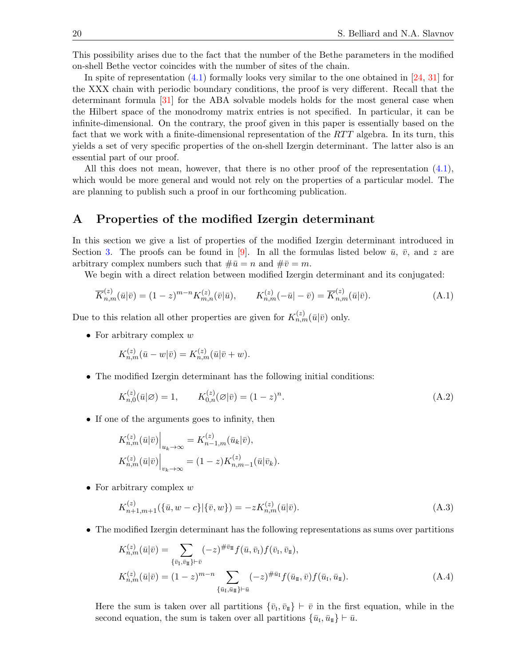This possibility arises due to the fact that the number of the Bethe parameters in the modified on-shell Bethe vector coincides with the number of sites of the chain.

In spite of representation [\(4.1\)](#page-8-1) formally looks very similar to the one obtained in [\[24,](#page-29-16) [31\]](#page-29-10) for the XXX chain with periodic boundary conditions, the proof is very different. Recall that the determinant formula [\[31\]](#page-29-10) for the ABA solvable models holds for the most general case when the Hilbert space of the monodromy matrix entries is not specified. In particular, it can be infinite-dimensional. On the contrary, the proof given in this paper is essentially based on the fact that we work with a finite-dimensional representation of the  $RTT$  algebra. In its turn, this yields a set of very specific properties of the on-shell Izergin determinant. The latter also is an essential part of our proof.

All this does not mean, however, that there is no other proof of the representation [\(4.1\)](#page-8-1), which would be more general and would not rely on the properties of a particular model. The are planning to publish such a proof in our forthcoming publication.

# <span id="page-19-0"></span>A Properties of the modified Izergin determinant

In this section we give a list of properties of the modified Izergin determinant introduced in Section [3.](#page-5-0) The proofs can be found in [\[9\]](#page-28-10). In all the formulas listed below  $\bar{u}$ ,  $\bar{v}$ , and z are arbitrary complex numbers such that  $\#\bar{u} = n$  and  $\#\bar{v} = m$ .

We begin with a direct relation between modified Izergin determinant and its conjugated:

$$
\overline{K}_{n,m}^{(z)}(\bar{u}|\bar{v}) = (1-z)^{m-n} K_{m,n}^{(z)}(\bar{v}|\bar{u}), \qquad K_{n,m}^{(z)}(-\bar{u}|-\bar{v}) = \overline{K}_{n,m}^{(z)}(\bar{u}|\bar{v}). \tag{A.1}
$$

Due to this relation all other properties are given for  $K_{n,m}^{(z)}(\bar{u}|\bar{v})$  only.

• For arbitrary complex  $w$ 

<span id="page-19-2"></span>
$$
K_{n,m}^{(z)}(\bar{u}-w|\bar{v})=K_{n,m}^{(z)}(\bar{u}|\bar{v}+w).
$$

• The modified Izergin determinant has the following initial conditions:

<span id="page-19-1"></span>
$$
K_{n,0}^{(z)}(\bar{u}|\varnothing) = 1, \qquad K_{0,n}^{(z)}(\varnothing|\bar{v}) = (1-z)^n. \tag{A.2}
$$

• If one of the arguments goes to infinity, then

$$
K_{n,m}^{(z)}(\bar{u}|\bar{v})\Big|_{u_k \to \infty} = K_{n-1,m}^{(z)}(\bar{u}_k|\bar{v}),
$$
  

$$
K_{n,m}^{(z)}(\bar{u}|\bar{v})\Big|_{v_k \to \infty} = (1-z)K_{n,m-1}^{(z)}(\bar{u}|\bar{v}_k).
$$

• For arbitrary complex  $w$ 

<span id="page-19-4"></span>
$$
K_{n+1,m+1}^{(z)}(\{\bar{u},w-c\}|\{\bar{v},w\}) = -zK_{n,m}^{(z)}(\bar{u}|\bar{v}).
$$
\n(A.3)

• The modified Izergin determinant has the following representations as sums over partitions

<span id="page-19-3"></span>
$$
K_{n,m}^{(z)}(\bar{u}|\bar{v}) = \sum_{\{\bar{v}_I,\bar{v}_{II}\}\vdash \bar{v}} (-z)^{\#\bar{v}_{II}} f(\bar{u}, \bar{v}_I) f(\bar{v}_I, \bar{v}_{II}),
$$
  
\n
$$
K_{n,m}^{(z)}(\bar{u}|\bar{v}) = (1-z)^{m-n} \sum_{\{\bar{u}_I,\bar{u}_{II}\}\vdash \bar{u}} (-z)^{\#\bar{u}_I} f(\bar{u}_I, \bar{v}) f(\bar{u}_I, \bar{u}_{II}).
$$
\n(A.4)

Here the sum is taken over all partitions  $\{\bar{v}_{\scriptscriptstyle \rm I},\bar{v}_{\scriptscriptstyle \rm I\hspace{-1pt}I}\}\vdash \bar{v}$  in the first equation, while in the second equation, the sum is taken over all partitions  $\{\bar{u}_I, \bar{u}_{\rm I\!I}\}\vdash \bar{u}$ .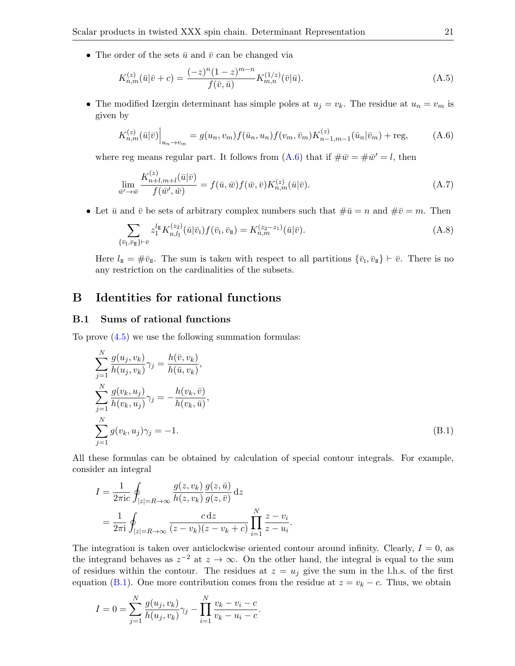• The order of the sets  $\bar{u}$  and  $\bar{v}$  can be changed via

<span id="page-20-3"></span>
$$
K_{n,m}^{(z)}(\bar{u}|\bar{v}+c) = \frac{(-z)^n (1-z)^{m-n}}{f(\bar{v},\bar{u})} K_{m,n}^{(1/z)}(\bar{v}|\bar{u}).
$$
\n(A.5)

• The modified Izergin determinant has simple poles at  $u_j = v_k$ . The residue at  $u_n = v_m$  is given by

<span id="page-20-1"></span>
$$
K_{n,m}^{(z)}(\bar{u}|\bar{v})\Big|_{u_n \to v_m} = g(u_n, v_m) f(\bar{u}_n, u_n) f(v_m, \bar{v}_m) K_{n-1,m-1}^{(z)}(\bar{u}_n|\bar{v}_m) + \text{reg}, \tag{A.6}
$$

where reg means regular part. It follows from  $(A.6)$  that if  $\#\bar{w} = \#\bar{w}' = l$ , then

<span id="page-20-5"></span>
$$
\lim_{\bar{w}' \to \bar{w}} \frac{K_{n+l,m+l}^{(z)}(\bar{u}|\bar{v})}{f(\bar{w}',\bar{w})} = f(\bar{u},\bar{w})f(\bar{w},\bar{v})K_{n,m}^{(z)}(\bar{u}|\bar{v}).
$$
\n(A.7)

• Let  $\bar{u}$  and  $\bar{v}$  be sets of arbitrary complex numbers such that  $\#\bar{u} = n$  and  $\#\bar{v} = m$ . Then

<span id="page-20-4"></span>
$$
\sum_{\{\bar{v}_I,\bar{v}_{II}\}\vdash \bar{v}} z_1^{l_{\rm II}} K_{n,l_I}^{(z_2)}(\bar{u}|\bar{v}_I) f(\bar{v}_I, \bar{v}_{II}) = K_{n,m}^{(z_2 - z_1)}(\bar{u}|\bar{v}). \tag{A.8}
$$

Here  $l_{\mathbb{I}} = \#\bar{v}_{\mathbb{I}}$ . The sum is taken with respect to all partitions  $\{\bar{v}_{\mathcal{I}}, \bar{v}_{\mathbb{I}}\} \vdash \bar{v}$ . There is no any restriction on the cardinalities of the subsets.

# <span id="page-20-0"></span>B Identities for rational functions

#### <span id="page-20-2"></span>B.1 Sums of rational functions

To prove [\(4.5\)](#page-8-4) we use the following summation formulas:

$$
\sum_{j=1}^{N} \frac{g(u_j, v_k)}{h(u_j, v_k)} \gamma_j = \frac{h(\bar{v}, v_k)}{h(\bar{u}, v_k)},
$$
  
\n
$$
\sum_{j=1}^{N} \frac{g(v_k, u_j)}{h(v_k, u_j)} \gamma_j = -\frac{h(v_k, \bar{v})}{h(v_k, \bar{u})},
$$
  
\n
$$
\sum_{j=1}^{N} g(v_k, u_j) \gamma_j = -1.
$$
\n(B.1)

All these formulas can be obtained by calculation of special contour integrals. For example, consider an integral

$$
I = \frac{1}{2\pi i c} \oint_{|z|=R \to \infty} \frac{g(z, v_k)}{h(z, v_k)} \frac{g(z, \bar{u})}{g(z, \bar{v})} dz
$$
  
= 
$$
\frac{1}{2\pi i} \oint_{|z|=R \to \infty} \frac{c dz}{(z - v_k)(z - v_k + c)} \prod_{i=1}^{N} \frac{z - v_i}{z - u_i}
$$

The integration is taken over anticlockwise oriented contour around infinity. Clearly,  $I = 0$ , as the integrand behaves as  $z^{-2}$  at  $z \to \infty$ . On the other hand, the integral is equal to the sum of residues within the contour. The residues at  $z = u_j$  give the sum in the l.h.s. of the first equation [\(B.1\)](#page-20-6). One more contribution comes from the residue at  $z = v_k - c$ . Thus, we obtain

<span id="page-20-6"></span>.

$$
I = 0 = \sum_{j=1}^{N} \frac{g(u_j, v_k)}{h(u_j, v_k)} \gamma_j - \prod_{i=1}^{N} \frac{v_k - v_i - c}{v_k - u_i - c}.
$$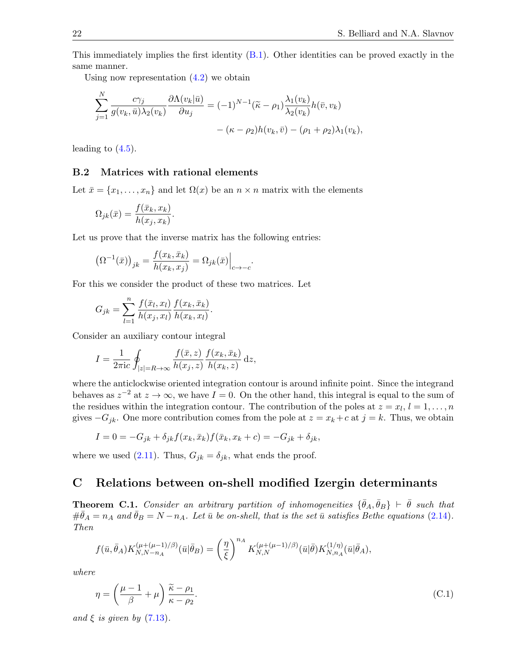This immediately implies the first identity [\(B.1\)](#page-20-6). Other identities can be proved exactly in the same manner.

Using now representation  $(4.2)$  we obtain

$$
\sum_{j=1}^{N} \frac{c\gamma_j}{g(v_k, \bar{u})\lambda_2(v_k)} \frac{\partial \Lambda(v_k|\bar{u})}{\partial u_j} = (-1)^{N-1} (\tilde{\kappa} - \rho_1) \frac{\lambda_1(v_k)}{\lambda_2(v_k)} h(\bar{v}, v_k) - (\kappa - \rho_2) h(v_k, \bar{v}) - (\rho_1 + \rho_2) \lambda_1(v_k),
$$

leading to  $(4.5)$ .

#### <span id="page-21-3"></span>B.2 Matrices with rational elements

Let  $\bar{x} = \{x_1, \ldots, x_n\}$  and let  $\Omega(x)$  be an  $n \times n$  matrix with the elements

$$
\Omega_{jk}(\bar{x}) = \frac{f(\bar{x}_k, x_k)}{h(x_j, x_k)}.
$$

Let us prove that the inverse matrix has the following entries:

$$
\left(\Omega^{-1}(\bar{x})\right)_{jk} = \frac{f(x_k, \bar{x}_k)}{h(x_k, x_j)} = \Omega_{jk}(\bar{x})\Big|_{c \to -c}
$$

For this we consider the product of these two matrices. Let

$$
G_{jk} = \sum_{l=1}^{n} \frac{f(\bar{x}_l, x_l)}{h(x_j, x_l)} \frac{f(x_k, \bar{x}_k)}{h(x_k, x_l)}.
$$

Consider an auxiliary contour integral

$$
I = \frac{1}{2\pi i c} \oint_{|z|=R \to \infty} \frac{f(\bar{x}, z)}{h(x_j, z)} \frac{f(x_k, \bar{x}_k)}{h(x_k, z)} dz,
$$

where the anticlockwise oriented integration contour is around infinite point. Since the integrand behaves as  $z^{-2}$  at  $z \to \infty$ , we have  $I = 0$ . On the other hand, this integral is equal to the sum of the residues within the integration contour. The contribution of the poles at  $z = x_l, l = 1, \ldots, n$ gives  $-G_{jk}$ . One more contribution comes from the pole at  $z = x_k + c$  at  $j = k$ . Thus, we obtain

.

$$
I = 0 = -G_{jk} + \delta_{jk} f(x_k, \bar{x}_k) f(\bar{x}_k, x_k + c) = -G_{jk} + \delta_{jk},
$$

where we used [\(2.11\)](#page-4-3). Thus,  $G_{jk} = \delta_{jk}$ , what ends the proof.

# <span id="page-21-0"></span>C Relations between on-shell modified Izergin determinants

<span id="page-21-1"></span>**Theorem C.1.** Consider an arbitrary partition of inhomogeneities  $\{\bar{\theta}_A, \bar{\theta}_B\}$   $\vdash \bar{\theta}$  such that  $\#\bar{\theta}_A = n_A$  and  $\bar{\theta}_B = N - n_A$ . Let  $\bar{u}$  be on-shell, that is the set  $\bar{u}$  satisfies Bethe equations [\(2.14\)](#page-5-1). Then

$$
f(\bar{u}, \bar{\theta}_A) K_{N,N-n_A}^{(\mu+(\mu-1)/\beta)}(\bar{u}|\bar{\theta}_B) = \left(\frac{\eta}{\xi}\right)^{n_A} K_{N,N}^{(\mu+(\mu-1)/\beta)}(\bar{u}|\bar{\theta}) K_{N,n_A}^{(1/\eta)}(\bar{u}|\bar{\theta}_A),
$$

where

<span id="page-21-2"></span>
$$
\eta = \left(\frac{\mu - 1}{\beta} + \mu\right) \frac{\tilde{\kappa} - \rho_1}{\kappa - \rho_2}.\tag{C.1}
$$

and  $\xi$  is given by  $(7.13)$ .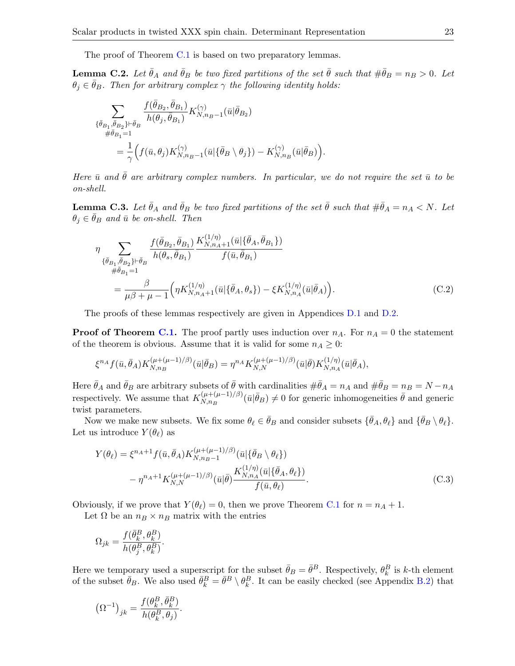The proof of Theorem [C.1](#page-21-1) is based on two preparatory lemmas.

<span id="page-22-1"></span>**Lemma C.2.** Let  $\bar{\theta}_A$  and  $\bar{\theta}_B$  be two fixed partitions of the set  $\bar{\theta}$  such that  $\#\bar{\theta}_B = n_B > 0$ . Let  $\theta_j \in \bar{\theta}_B$ . Then for arbitrary complex  $\gamma$  the following identity holds:

$$
\begin{split} \sum_{\{\bar{\theta}_{B_1},\bar{\theta}_{B_2}\}\vdash \bar{\theta}_B} \frac{f(\bar{\theta}_{B_2},\bar{\theta}_{B_1})}{h(\theta_j,\bar{\theta}_{B_1})} K^{(\gamma)}_{N,n_B-1}(\bar{u}|\bar{\theta}_{B_2})\\ = \frac{1}{\gamma}\Big(f(\bar{u},\theta_j)K^{(\gamma)}_{N,n_B-1}(\bar{u}|\{\bar{\theta}_B\setminus\theta_j\})-K^{(\gamma)}_{N,n_B}(\bar{u}|\bar{\theta}_B)\Big). \end{split}
$$

Here  $\bar{u}$  and  $\bar{\theta}$  are arbitrary complex numbers. In particular, we do not require the set  $\bar{u}$  to be on-shell.

<span id="page-22-2"></span>**Lemma C.3.** Let  $\bar{\theta}_A$  and  $\bar{\theta}_B$  be two fixed partitions of the set  $\bar{\theta}$  such that  $\#\bar{\theta}_A = n_A \lt N$ . Let  $\theta_i \in \bar{\theta}_B$  and  $\bar{u}$  be on-shell. Then

<span id="page-22-3"></span>
$$
\eta \sum_{\{\bar{\theta}_{B_1}, \bar{\theta}_{B_2}\} \vdash \bar{\theta}_{B}} \frac{f(\bar{\theta}_{B_2}, \bar{\theta}_{B_1})}{h(\theta_s, \bar{\theta}_{B_1})} \frac{K_{N, n_A+1}^{(1/\eta)}(\bar{u}|\{\bar{\theta}_A, \bar{\theta}_{B_1}\})}{f(\bar{u}, \bar{\theta}_{B_1})}
$$
\n
$$
= \frac{\beta}{\mu \beta + \mu - 1} \Big(\eta K_{N, n_A+1}^{(1/\eta)}(\bar{u}|\{\bar{\theta}_A, \theta_s\}) - \xi K_{N, n_A}^{(1/\eta)}(\bar{u}|\bar{\theta}_A)\Big). \tag{C.2}
$$

The proofs of these lemmas respectively are given in Appendices [D.1](#page-23-1) and [D.2.](#page-24-0)

**Proof of Theorem [C.1.](#page-21-1)** The proof partly uses induction over  $n_A$ . For  $n_A = 0$  the statement of the theorem is obvious. Assume that it is valid for some  $n_A \geq 0$ :

$$
\xi^{n_A} f(\bar{u}, \bar{\theta}_A) K_{N, n_B}^{(\mu + (\mu - 1)/\beta)}(\bar{u} | \bar{\theta}_B) = \eta^{n_A} K_{N, N}^{(\mu + (\mu - 1)/\beta)}(\bar{u} | \bar{\theta}) K_{N, n_A}^{(1/\eta)}(\bar{u} | \bar{\theta}_A),
$$

Here  $\bar{\theta}_A$  and  $\bar{\theta}_B$  are arbitrary subsets of  $\bar{\theta}$  with cardinalities  $\#\bar{\theta}_A = n_A$  and  $\#\bar{\theta}_B = n_B = N - n_A$ respectively. We assume that  $K_{N,n,p}^{(\mu+(\mu-1)/\beta)}$  $(\mu+(\mu-1)/\beta)(\bar{u}|\bar{\theta}_B) \neq 0$  for generic inhomogeneities  $\bar{\theta}$  and generic twist parameters.

Now we make new subsets. We fix some  $\theta_\ell \in \bar{\theta}_B$  and consider subsets  $\{\bar{\theta}_A, \theta_\ell\}$  and  $\{\bar{\theta}_B \setminus \theta_\ell\}.$ Let us introduce  $Y(\theta_\ell)$  as

<span id="page-22-0"></span>
$$
Y(\theta_{\ell}) = \xi^{n_A+1} f(\bar{u}, \bar{\theta}_A) K_{N, n_B-1}^{(\mu+(\mu-1)/\beta)}(\bar{u}|\{\bar{\theta}_B \setminus \theta_{\ell}\})
$$

$$
- \eta^{n_A+1} K_{N, N}^{(\mu+(\mu-1)/\beta)}(\bar{u}|\bar{\theta}) \frac{K_{N, n_A}^{(1/\eta)}(\bar{u}|\{\bar{\theta}_A, \theta_{\ell}\})}{f(\bar{u}, \theta_{\ell})}.
$$
(C.3)

Obviously, if we prove that  $Y(\theta_\ell) = 0$ , then we prove Theorem [C.1](#page-21-1) for  $n = n_A + 1$ .

Let  $\Omega$  be an  $n_B \times n_B$  matrix with the entries

$$
\Omega_{jk}=\frac{f(\bar{\theta}^B_k,\theta^B_k)}{h(\theta^B_j,\theta^B_k)}.
$$

Here we temporary used a superscript for the subset  $\bar{\theta}_B = \bar{\theta}^B$ . Respectively,  $\theta_k^B$  is k-th element of the subset  $\bar{\theta}_B$ . We also used  $\bar{\theta}_k^B = \bar{\theta}^B \setminus \theta_k^B$ . It can be easily checked (see Appendix [B.2\)](#page-21-3) that

$$
\left(\Omega^{-1}\right)_{jk}=\frac{f(\theta_k^B,\bar{\theta}_k^B)}{h(\theta_k^B,\theta_j)}.
$$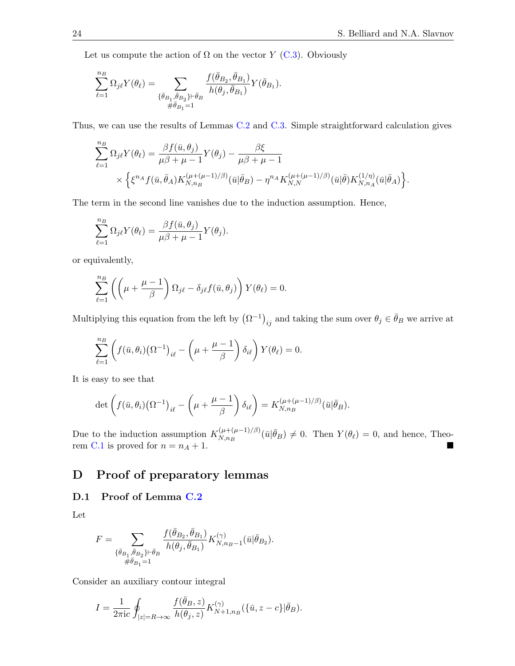Let us compute the action of  $\Omega$  on the vector Y [\(C.3\)](#page-22-0). Obviously

$$
\sum_{\ell=1}^{n_B}\Omega_{j\ell}Y(\theta_\ell)=\sum_{\substack{\{\bar{\theta}_{B_1},\bar{\theta}_{B_2}\}\vdash \bar{\theta}_B\\ \#\bar{\theta}_{B_1}=1}}\frac{f(\bar{\theta}_{B_2},\bar{\theta}_{B_1})}{h(\theta_j,\bar{\theta}_{B_1})}Y(\bar{\theta}_{B_1}).
$$

Thus, we can use the results of Lemmas [C.2](#page-22-1) and [C.3.](#page-22-2) Simple straightforward calculation gives

$$
\sum_{\ell=1}^{n_B} \Omega_{j\ell} Y(\theta_\ell) = \frac{\beta f(\bar{u}, \theta_j)}{\mu \beta + \mu - 1} Y(\theta_j) - \frac{\beta \xi}{\mu \beta + \mu - 1} \times \left\{ \xi^{n_A} f(\bar{u}, \bar{\theta}_A) K_{N, n_B}^{(\mu + (\mu - 1)/\beta)}(\bar{u} | \bar{\theta}_B) - \eta^{n_A} K_{N, N}^{(\mu + (\mu - 1)/\beta)}(\bar{u} | \bar{\theta}) K_{N, n_A}^{(1/\eta)}(\bar{u} | \bar{\theta}_A) \right\}.
$$

The term in the second line vanishes due to the induction assumption. Hence,

$$
\sum_{\ell=1}^{n_B} \Omega_{j\ell} Y(\theta_\ell) = \frac{\beta f(\bar{u}, \theta_j)}{\mu \beta + \mu - 1} Y(\theta_j).
$$

or equivalently,

$$
\sum_{\ell=1}^{n_B} \left( \left( \mu + \frac{\mu - 1}{\beta} \right) \Omega_{j\ell} - \delta_{j\ell} f(\bar{u}, \theta_j) \right) Y(\theta_\ell) = 0.
$$

Multiplying this equation from the left by  $(\Omega^{-1})_{ij}$  and taking the sum over  $\theta_j \in \bar{\theta}_B$  we arrive at

$$
\sum_{\ell=1}^{n_B} \left( f(\bar{u}, \theta_i) (\Omega^{-1})_{i\ell} - \left( \mu + \frac{\mu - 1}{\beta} \right) \delta_{i\ell} \right) Y(\theta_\ell) = 0.
$$

It is easy to see that

$$
\det\left(f(\bar{u},\theta_i)(\Omega^{-1})_{i\ell}-\left(\mu+\frac{\mu-1}{\beta}\right)\delta_{i\ell}\right)=K_{N,n_B}^{(\mu+(\mu-1)/\beta)}(\bar{u}|\bar{\theta}_B).
$$

Due to the induction assumption  $K_{N,n,p}^{(\mu+(\mu-1)/\beta)}$  $(N_{N,n_B}^{(\mu+(\mu-1)/\beta)}(\bar{u}|\bar{\theta}_B) \neq 0$ . Then  $Y(\theta_\ell) = 0$ , and hence, Theo-rem [C.1](#page-21-1) is proved for  $n = n_A + 1$ .

# <span id="page-23-0"></span>D Proof of preparatory lemmas

### <span id="page-23-1"></span>D.1 Proof of Lemma [C.2](#page-22-1)

Let

$$
F = \sum_{\substack{\{\bar{\theta}_{B_1}, \bar{\theta}_{B_2}\} \vdash \bar{\theta}_B \\ \# \bar{\theta}_{B_1} = 1}} \frac{f(\bar{\theta}_{B_2}, \bar{\theta}_{B_1})}{h(\theta_j, \bar{\theta}_{B_1})} K_{N,n_B-1}^{(\gamma)}(\bar{u}|\bar{\theta}_{B_2}).
$$

Consider an auxiliary contour integral

$$
I=\frac{1}{2\pi \mathrm{i} c}\oint_{|z|=R\to\infty}\frac{f(\bar{\theta}_B,z)}{h(\theta_j,z)}K^{(\gamma)}_{N+1,n_B}(\{\bar{u},z-c\}|\bar{\theta}_B).
$$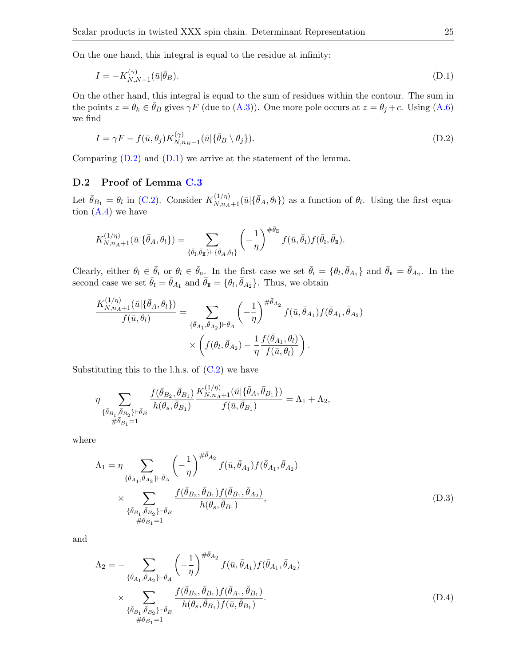On the one hand, this integral is equal to the residue at infinity:

<span id="page-24-2"></span>
$$
I = -K_{N,N-1}^{(\gamma)}(\bar{u}|\bar{\theta}_B). \tag{D.1}
$$

On the other hand, this integral is equal to the sum of residues within the contour. The sum in the points  $z = \theta_k \in \bar{\theta}_B$  gives  $\gamma F$  (due to  $(A.3)$ ). One more pole occurs at  $z = \theta_j + c$ . Using  $(A.6)$ we find

<span id="page-24-1"></span>
$$
I = \gamma F - f(\bar{u}, \theta_j) K_{N, n_B - 1}^{(\gamma)}(\bar{u} | \{\bar{\theta}_B \setminus \theta_j\}). \tag{D.2}
$$

Comparing  $(D.2)$  and  $(D.1)$  we arrive at the statement of the lemma.

### <span id="page-24-0"></span>D.2 Proof of Lemma [C.3](#page-22-2)

Let  $\bar{\theta}_{B_1} = \theta_l$  in [\(C.2\)](#page-22-3). Consider  $K_{N,n_A+1}^{(1/\eta)}(\bar{u}|\{\bar{\theta}_A,\theta_l\})$  as a function of  $\theta_l$ . Using the first equation  $(A.4)$  we have

$$
K_{N,n_A+1}^{(1/\eta)}(\bar{u}|\{\bar{\theta}_A,\theta_l\}) = \sum_{\{\bar{\theta}_I,\bar{\theta}_I\} \vdash \{\bar{\theta}_A,\theta_l\}} \left(-\frac{1}{\eta}\right)^{\#\bar{\theta}_I} f(\bar{u},\bar{\theta}_I) f(\bar{\theta}_I,\bar{\theta}_I).
$$

Clearly, either  $\theta_l \in \bar{\theta}_{\text{I}}$  or  $\theta_l \in \bar{\theta}_{\text{II}}$ . In the first case we set  $\bar{\theta}_{\text{I}} = \{\theta_l, \bar{\theta}_{A_1}\}\$  and  $\bar{\theta}_{\text{II}} = \bar{\theta}_{A_2}$ . In the second case we set  $\bar{\theta}_I = \bar{\theta}_{A_1}$  and  $\bar{\theta}_{\rm I\!I} = \{\theta_l, \bar{\theta}_{A_2}\}\$ . Thus, we obtain

$$
\frac{K_{N,n_A+1}^{(1/\eta)}(\bar{u}|\{\bar{\theta}_A,\theta_l\})}{f(\bar{u},\theta_l)} = \sum_{\{\bar{\theta}_{A_1},\bar{\theta}_{A_2}\}\vdash \bar{\theta}_A} \left(-\frac{1}{\eta}\right)^{\#\bar{\theta}_{A_2}} f(\bar{u},\bar{\theta}_{A_1}) f(\bar{\theta}_{A_1},\bar{\theta}_{A_2})
$$

$$
\times \left(f(\theta_l,\bar{\theta}_{A_2}) - \frac{1}{\eta} \frac{f(\bar{\theta}_{A_1},\theta_l)}{f(\bar{u},\theta_l)}\right).
$$

Substituting this to the l.h.s. of  $(C.2)$  we have

$$
\eta \sum_{\{\bar{\theta}_{B_1}, \bar{\theta}_{B_2}\} \vdash \bar{\theta}_{B}} \frac{f(\bar{\theta}_{B_2}, \bar{\theta}_{B_1})}{h(\theta_s, \bar{\theta}_{B_1})} \frac{K_{N, n_A + 1}^{(1/\eta)}(\bar{u} | \{\bar{\theta}_A, \bar{\theta}_{B_1}\})}{f(\bar{u}, \bar{\theta}_{B_1})} = \Lambda_1 + \Lambda_2,
$$

where

<span id="page-24-3"></span>
$$
\Lambda_{1} = \eta \sum_{\{\bar{\theta}_{A_{1}}, \bar{\theta}_{A_{2}}\} \vdash \bar{\theta}_{A}} \left( -\frac{1}{\eta} \right)^{\#\bar{\theta}_{A_{2}}} f(\bar{u}, \bar{\theta}_{A_{1}}) f(\bar{\theta}_{A_{1}}, \bar{\theta}_{A_{2}}) \times \sum_{\{\bar{\theta}_{B_{1}}, \bar{\theta}_{B_{2}}\} \vdash \bar{\theta}_{B}} \frac{f(\bar{\theta}_{B_{2}}, \bar{\theta}_{B_{1}}) f(\bar{\theta}_{B_{1}}, \bar{\theta}_{A_{2}})}{h(\theta_{s}, \bar{\theta}_{B_{1}})},
$$
\n(D.3)

and

<span id="page-24-4"></span>
$$
\Lambda_{2} = -\sum_{\{\bar{\theta}_{A_{1}}, \bar{\theta}_{A_{2}}\} \vdash \bar{\theta}_{A}} \left( -\frac{1}{\eta} \right)^{\#\bar{\theta}_{A_{2}}} f(\bar{u}, \bar{\theta}_{A_{1}}) f(\bar{\theta}_{A_{1}}, \bar{\theta}_{A_{2}})
$$

$$
\times \sum_{\{\bar{\theta}_{B_{1}}, \bar{\theta}_{B_{2}}\} \vdash \bar{\theta}_{B}} \frac{f(\bar{\theta}_{B_{2}}, \bar{\theta}_{B_{1}}) f(\bar{\theta}_{A_{1}}, \bar{\theta}_{B_{1}})}{h(\theta_{s}, \bar{\theta}_{B_{1}}) f(\bar{u}, \bar{\theta}_{B_{1}})}.
$$
(D.4)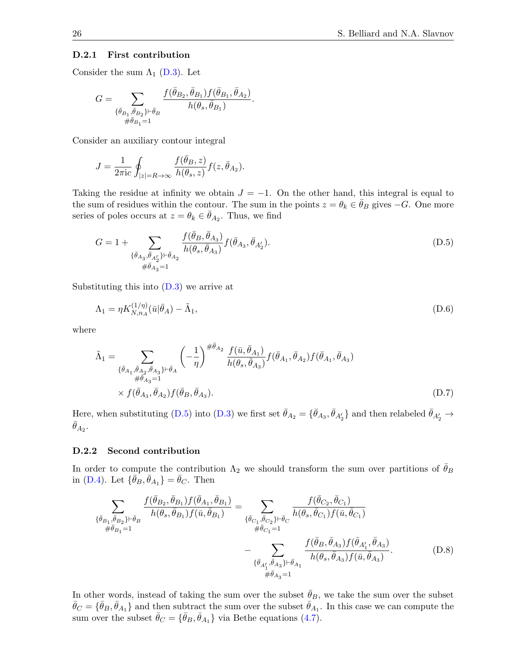#### D.2.1 First contribution

Consider the sum  $\Lambda_1$  [\(D.3\)](#page-24-3). Let

$$
G=\sum_{\{\bar{\theta}_{B_1},\bar{\theta}_{B_2}\}\vdash \bar{\theta}_{B} \atop \#\bar{\theta}_{B_1}=1} \frac{f(\bar{\theta}_{B_2},\bar{\theta}_{B_1})f(\bar{\theta}_{B_1},\bar{\theta}_{A_2})}{h(\theta_s,\bar{\theta}_{B_1})}.
$$

Consider an auxiliary contour integral

$$
J=\frac{1}{2\pi \mathrm{i} c}\oint_{|z|=R\to\infty}\frac{f(\bar{\theta}_B,z)}{h(\theta_s,z)}f(z,\bar{\theta}_{A_2}).
$$

Taking the residue at infinity we obtain  $J = -1$ . On the other hand, this integral is equal to the sum of residues within the contour. The sum in the points  $z = \theta_k \in \theta_B$  gives  $-G$ . One more series of poles occurs at  $z = \theta_k \in \bar{\theta}_{A_2}$ . Thus, we find

<span id="page-25-0"></span>
$$
G = 1 + \sum_{\{\bar{\theta}_{A_3}, \bar{\theta}_{A'_2}\} \vdash \bar{\theta}_{A_2}} \frac{f(\bar{\theta}_B, \bar{\theta}_{A_3})}{h(\theta_s, \bar{\theta}_{A_3})} f(\bar{\theta}_{A_3}, \bar{\theta}_{A'_2}).
$$
\n(D.5)

Substituting this into  $(D.3)$  we arrive at

<span id="page-25-3"></span>
$$
\Lambda_1 = \eta K_{N,n_A}^{(1/\eta)}(\bar{u}|\bar{\theta}_A) - \tilde{\Lambda}_1,\tag{D.6}
$$

where

<span id="page-25-2"></span>
$$
\tilde{\Lambda}_{1} = \sum_{\substack{\{\bar{\theta}_{A_{1}}, \bar{\theta}_{A_{2}}, \bar{\theta}_{A_{3}}\} \vdash \bar{\theta}_{A} \\ \#\bar{\theta}_{A_{3}} = 1}} \left( -\frac{1}{\eta} \right)^{\#\bar{\theta}_{A_{2}}} \frac{f(\bar{u}, \bar{\theta}_{A_{1}})}{h(\theta_{s}, \bar{\theta}_{A_{3}})} f(\bar{\theta}_{A_{1}}, \bar{\theta}_{A_{2}}) f(\bar{\theta}_{A_{1}}, \bar{\theta}_{A_{3}}) \times f(\bar{\theta}_{A_{3}}, \bar{\theta}_{A_{2}}) f(\bar{\theta}_{B}, \bar{\theta}_{A_{3}}).
$$
\n(D.7)

Here, when substituting [\(D.5\)](#page-25-0) into [\(D.3\)](#page-24-3) we first set  $\bar{\theta}_{A_2} = \{\bar{\theta}_{A_3}, \bar{\theta}_{A'_2}\}\$  and then relabeled  $\bar{\theta}_{A'_2} \to$  $\bar{\theta}_{A_2}$ .

#### D.2.2 Second contribution

In order to compute the contribution  $\Lambda_2$  we should transform the sum over partitions of  $\theta_B$ in [\(D.4\)](#page-24-4). Let  $\{\bar{\theta}_B, \bar{\theta}_{A_1}\} = \bar{\theta}_C$ . Then

<span id="page-25-1"></span>
$$
\sum_{\{\bar{\theta}_{B_1},\bar{\theta}_{B_2}\}\vdash \bar{\theta}_{B}} \frac{f(\bar{\theta}_{B_2},\bar{\theta}_{B_1})f(\bar{\theta}_{A_1},\bar{\theta}_{B_1})}{h(\theta_s,\bar{\theta}_{B_1})f(\bar{u},\bar{\theta}_{B_1})} = \sum_{\{\bar{\theta}_{C_1},\bar{\theta}_{C_2}\}\vdash \bar{\theta}_{C}} \frac{f(\bar{\theta}_{C_2},\bar{\theta}_{C_1})}{h(\theta_s,\bar{\theta}_{C_1})f(\bar{u},\bar{\theta}_{C_1})} - \sum_{\substack{\{\bar{\theta}_{C_1},\bar{\theta}_{C_2}\}\vdash \bar{\theta}_{C_1} \vdash \bar{\theta}_{A_1} \vdash \bar{\theta}_{A_1} \vdash \bar{\theta}_{A_1} \vdash \bar{\theta}_{A_1} \vdash \bar{\theta}_{A_1} \vdash \bar{\theta}_{A_1} \vdash \bar{\theta}_{A_1} \vdash \bar{\theta}_{A_1} \vdash \bar{\theta}_{A_1} \end{math}.
$$
\n(D.8)

In other words, instead of taking the sum over the subset  $\bar{\theta}_B$ , we take the sum over the subset  $\bar{\theta}_C = \{\bar{\theta}_B, \bar{\theta}_{A_1}\}\$ and then subtract the sum over the subset  $\bar{\theta}_{A_1}$ . In this case we can compute the sum over the subset  $\bar{\theta}_C = {\bar{\theta}_B, \bar{\theta}_{A_1}}$  via Bethe equations [\(4.7\)](#page-9-3).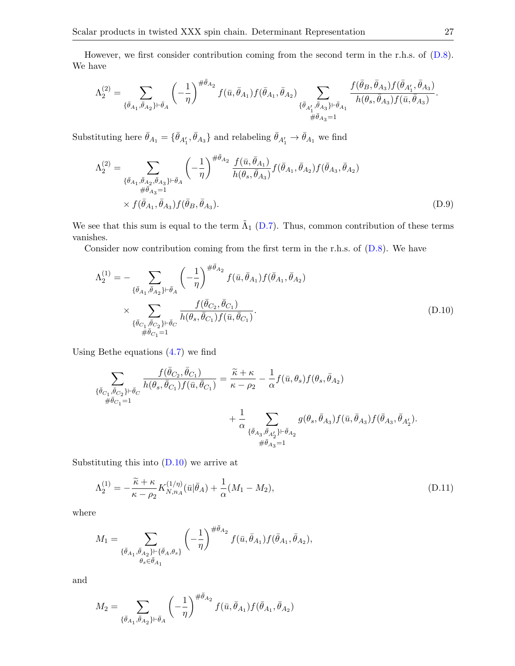However, we first consider contribution coming from the second term in the r.h.s. of [\(D.8\)](#page-25-1). We have

$$
\Lambda_2^{(2)}=\sum_{\{\bar{\theta}_{A_1},\bar{\theta}_{A_2}\}\vdash \bar{\theta}_A}\left(-\frac{1}{\eta}\right)^{\#\bar{\theta}_{A_2}}f(\bar{u},\bar{\theta}_{A_1})f(\bar{\theta}_{A_1},\bar{\theta}_{A_2})\sum_{\{\bar{\theta}_{A'_1},\bar{\theta}_{A_3}\}\vdash \bar{\theta}_{A_1}\\ \#\bar{\theta}_{A_3}=1}\frac{f(\bar{\theta}_B,\bar{\theta}_{A_3})f(\bar{\theta}_{A'_1},\bar{\theta}_{A_3})}{h(\theta_s,\bar{\theta}_{A_3})f(\bar{u},\bar{\theta}_{A_3})}.
$$

Substituting here  $\bar{\theta}_{A_1} = \{\bar{\theta}_{A'_1}, \bar{\theta}_{A_3}\}\$ and relabeling  $\bar{\theta}_{A'_1} \to \bar{\theta}_{A_1}$  we find

<span id="page-26-2"></span>
$$
\Lambda_2^{(2)} = \sum_{\substack{\{\bar{\theta}_{A_1}, \bar{\theta}_{A_2}, \bar{\theta}_{A_3}\} \vdash \bar{\theta}_A}} \left( -\frac{1}{\eta} \right)^{\#\bar{\theta}_{A_2}} \frac{f(\bar{u}, \bar{\theta}_{A_1})}{h(\theta_s, \bar{\theta}_{A_3})} f(\bar{\theta}_{A_1}, \bar{\theta}_{A_2}) f(\bar{\theta}_{A_3}, \bar{\theta}_{A_2})
$$
  
\$\times f(\bar{\theta}\_{A\_1}, \bar{\theta}\_{A\_3}) f(\bar{\theta}\_B, \bar{\theta}\_{A\_3})\$. (D.9)

We see that this sum is equal to the term  $\tilde{\Lambda}_{1}$  [\(D.7\)](#page-25-2). Thus, common contribution of these terms vanishes.

Consider now contribution coming from the first term in the r.h.s. of [\(D.8\)](#page-25-1). We have

<span id="page-26-0"></span>
$$
\Lambda_2^{(1)} = -\sum_{\{\bar{\theta}_{A_1}, \bar{\theta}_{A_2}\} \vdash \bar{\theta}_A} \left( -\frac{1}{\eta} \right)^{\#\bar{\theta}_{A_2}} f(\bar{u}, \bar{\theta}_{A_1}) f(\bar{\theta}_{A_1}, \bar{\theta}_{A_2})
$$

$$
\times \sum_{\{\bar{\theta}_{C_1}, \bar{\theta}_{C_2}\} \vdash \bar{\theta}_C} \frac{f(\bar{\theta}_{C_2}, \bar{\theta}_{C_1})}{h(\theta_s, \bar{\theta}_{C_1}) f(\bar{u}, \bar{\theta}_{C_1})}.
$$
(D.10)

Using Bethe equations [\(4.7\)](#page-9-3) we find

$$
\begin{split} \sum_{\{\bar{\theta}_{C_1},\bar{\theta}_{C_2}\}\vdash \bar{\theta}_C} \frac{f(\bar{\theta}_{C_2},\bar{\theta}_{C_1})}{h(\theta_s,\bar{\theta}_{C_1})f(\bar{u},\bar{\theta}_{C_1})} = \frac{\widetilde{\kappa}+\kappa}{\kappa-\rho_2} - \frac{1}{\alpha}f(\bar{u},\theta_s)f(\theta_s,\bar{\theta}_{A_2}) \\ + \frac{1}{\alpha} \sum_{\{\bar{\theta}_{A_3},\bar{\theta}_{A'_2}\}\vdash \bar{\theta}_{A_2}} g(\theta_s,\bar{\theta}_{A_3})f(\bar{u},\bar{\theta}_{A_3})f(\bar{\theta}_{A_3},\bar{\theta}_{A'_2}).\\ + \frac{1}{\theta \bar{\theta}_{A_3}=1} \end{split}
$$

Substituting this into  $(D.10)$  we arrive at

<span id="page-26-1"></span>
$$
\Lambda_2^{(1)} = -\frac{\tilde{\kappa} + \kappa}{\kappa - \rho_2} K_{N,n_A}^{(1/\eta)}(\bar{u}|\bar{\theta}_A) + \frac{1}{\alpha}(M_1 - M_2),\tag{D.11}
$$

where

$$
M_1=\sum_{\substack{\{\bar{\theta}_{A_1},\bar{\theta}_{A_2}\} \vdash \{\bar{\theta}_{A},\theta_{s}\} \\ \theta_{s}\in \bar{\theta}_{A_1}}}\left(-\frac{1}{\eta}\right)^{\#\bar{\theta}_{A_2}}f(\bar{u},\bar{\theta}_{A_1})f(\bar{\theta}_{A_1},\bar{\theta}_{A_2}),
$$

and

$$
M_2=\sum_{\{\bar{\theta}_{A_1},\bar{\theta}_{A_2}\}\vdash \bar{\theta}_A}\left(-\frac{1}{\eta}\right)^{\#\bar{\theta}_{A_2}}f(\bar{u},\bar{\theta}_{A_1})f(\bar{\theta}_{A_1},\bar{\theta}_{A_2})
$$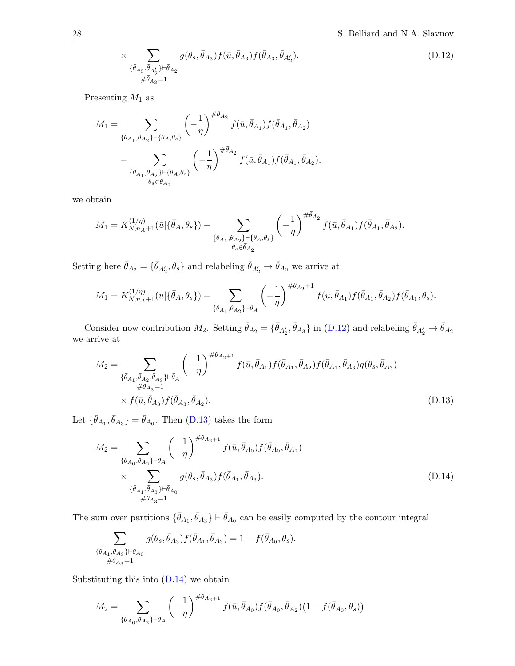<span id="page-27-0"></span>
$$
\times \sum_{\{\bar{\theta}_{A_3}, \bar{\theta}_{A'_2}\} \vdash \bar{\theta}_{A_2}} g(\theta_s, \bar{\theta}_{A_3}) f(\bar{u}, \bar{\theta}_{A_3}) f(\bar{\theta}_{A_3}, \bar{\theta}_{A'_2}).
$$
\n(D.12)

Presenting  $M_1$  as

$$
\begin{split} M_1 = & \sum_{\{\bar{\theta}_{A_1}, \bar{\theta}_{A_2}\} \vdash \{\bar{\theta}_{A}, \theta_s\}} \left( -\frac{1}{\eta} \right)^{\# \bar{\theta}_{A_2}} f(\bar{u}, \bar{\theta}_{A_1}) f(\bar{\theta}_{A_1}, \bar{\theta}_{A_2}) \\ & - \sum_{\{\bar{\theta}_{A_1}, \bar{\theta}_{A_2}\} \vdash \{\bar{\theta}_{A}, \theta_s\}} \left( -\frac{1}{\eta} \right)^{\# \bar{\theta}_{A_2}} f(\bar{u}, \bar{\theta}_{A_1}) f(\bar{\theta}_{A_1}, \bar{\theta}_{A_2}), \end{split}
$$

we obtain

$$
M_1 = K_{N,n_A+1}^{(1/\eta)}(\bar{u}|\{\bar{\theta}_A,\theta_s\}) - \sum_{\{\bar{\theta}_{A_1},\bar{\theta}_{A_2}\} \vdash \{\bar{\theta}_A,\theta_s\} \atop \theta_s \in \bar{\theta}_{A_2}} \left(-\frac{1}{\eta}\right)^{\#\bar{\theta}_{A_2}} f(\bar{u},\bar{\theta}_{A_1}) f(\bar{\theta}_{A_1},\bar{\theta}_{A_2}).
$$

Setting here  $\bar{\theta}_{A_2} = \{\bar{\theta}_{A'_2}, \theta_s\}$  and relabeling  $\bar{\theta}_{A'_2} \to \bar{\theta}_{A_2}$  we arrive at

$$
M_1 = K_{N,n_A+1}^{(1/\eta)}(\bar{u}|\{\bar{\theta}_A,\theta_s\}) - \sum_{\{\bar{\theta}_{A_1},\bar{\theta}_{A_2}\}\vdash \bar{\theta}_A} \left(-\frac{1}{\eta}\right)^{\#\bar{\theta}_{A_2}+1} f(\bar{u},\bar{\theta}_{A_1}) f(\bar{\theta}_{A_1},\bar{\theta}_{A_2}) f(\bar{\theta}_{A_1},\theta_s).
$$

Consider now contribution  $M_2$ . Setting  $\bar{\theta}_{A_2} = \{\bar{\theta}_{A'_2}, \bar{\theta}_{A_3}\}\$ in [\(D.12\)](#page-27-0) and relabeling  $\bar{\theta}_{A'_2} \to \bar{\theta}_{A_2}$ we arrive at

<span id="page-27-1"></span>
$$
M_2 = \sum_{\substack{\{\bar{\theta}_{A_1}, \bar{\theta}_{A_2}, \bar{\theta}_{A_3}\} \vdash \bar{\theta}_A}} \left( -\frac{1}{\eta} \right)^{\#\bar{\theta}_{A_2+1}} f(\bar{u}, \bar{\theta}_{A_1}) f(\bar{\theta}_{A_1}, \bar{\theta}_{A_2}) f(\bar{\theta}_{A_1}, \bar{\theta}_{A_3}) g(\theta_s, \bar{\theta}_{A_3}) \n\times f(\bar{u}, \bar{\theta}_{A_3}) f(\bar{\theta}_{A_3}, \bar{\theta}_{A_2}).
$$
\n(D.13)

Let  $\{\bar{\theta}_{A_1}, \bar{\theta}_{A_3}\} = \bar{\theta}_{A_0}$ . Then [\(D.13\)](#page-27-1) takes the form

<span id="page-27-2"></span>
$$
M_2 = \sum_{\{\bar{\theta}_{A_0}, \bar{\theta}_{A_2}\} \vdash \bar{\theta}_A} \left( -\frac{1}{\eta} \right)^{\#\bar{\theta}_{A_2+1}} f(\bar{u}, \bar{\theta}_{A_0}) f(\bar{\theta}_{A_0}, \bar{\theta}_{A_2})
$$
  
 
$$
\times \sum_{\substack{\{\bar{\theta}_{A_1}, \bar{\theta}_{A_3}\} \vdash \bar{\theta}_{A_0} \\ \#\bar{\theta}_{A_3} = 1}} g(\theta_s, \bar{\theta}_{A_3}) f(\bar{\theta}_{A_1}, \bar{\theta}_{A_3}).
$$
 (D.14)

The sum over partitions  $\{\bar{\theta}_{A_1}, \bar{\theta}_{A_3}\} \vdash \bar{\theta}_{A_0}$  can be easily computed by the contour integral

$$
\sum_{\substack{\{\bar{\theta}_{A_1},\bar{\theta}_{A_3}\}\vdash \bar{\theta}_{A_0}\\ \#\bar{\theta}_{A_3}=1}}g(\theta_s,\bar{\theta}_{A_3})f(\bar{\theta}_{A_1},\bar{\theta}_{A_3})=1-f(\bar{\theta}_{A_0},\theta_s).
$$

Substituting this into [\(D.14\)](#page-27-2) we obtain

$$
M_2=\sum_{\{\bar{\theta}_{A_0},\bar{\theta}_{A_2}\}\vdash \bar{\theta}_A}\left(-\frac{1}{\eta}\right)^{\#\bar{\theta}_{A_2+1}}f(\bar{u},\bar{\theta}_{A_0})f(\bar{\theta}_{A_0},\bar{\theta}_{A_2})\big(1-f(\bar{\theta}_{A_0},\theta_s)\big)
$$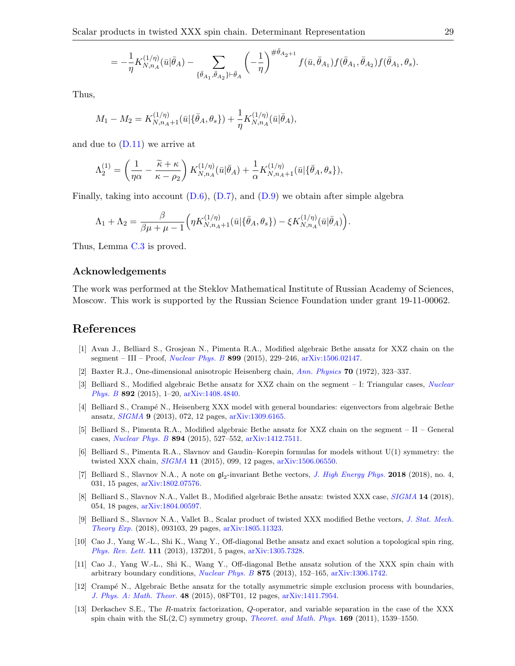$$
= -\frac{1}{\eta} K_{N,n_A}^{(1/\eta)}(\bar{u}|\bar{\theta}_A) - \sum_{\{\bar{\theta}_{A_1},\bar{\theta}_{A_2}\} \vdash \bar{\theta}_A} \left( -\frac{1}{\eta}\right)^{\# \bar{\theta}_{A_2+1}} f(\bar{u},\bar{\theta}_{A_1}) f(\bar{\theta}_{A_1},\bar{\theta}_{A_2}) f(\bar{\theta}_{A_1},\theta_s).
$$

Thus,

$$
M_1 - M_2 = K_{N,n_A+1}^{(1/\eta)}(\bar{u}|\{\bar{\theta}_A,\theta_s\}) + \frac{1}{\eta}K_{N,n_A}^{(1/\eta)}(\bar{u}|\bar{\theta}_A),
$$

and due to  $(D.11)$  we arrive at

$$
\Lambda_2^{(1)} = \left(\frac{1}{\eta\alpha} - \frac{\widetilde{\kappa} + \kappa}{\kappa - \rho_2}\right) K_{N,n_A}^{(1/\eta)}(\bar{u}|\bar{\theta}_A) + \frac{1}{\alpha} K_{N,n_A+1}^{(1/\eta)}(\bar{u}|\{\bar{\theta}_A,\theta_s\}),
$$

Finally, taking into account  $(D.6)$ ,  $(D.7)$ , and  $(D.9)$  we obtain after simple algebra

$$
\Lambda_1 + \Lambda_2 = \frac{\beta}{\beta \mu + \mu - 1} \Big( \eta K_{N,n_A+1}^{(1/\eta)}(\bar{u} | \{\bar{\theta}_A, \theta_s\}) - \xi K_{N,n_A}^{(1/\eta)}(\bar{u} | \bar{\theta}_A) \Big).
$$

Thus, Lemma [C.3](#page-22-2) is proved.

#### Acknowledgements

The work was performed at the Steklov Mathematical Institute of Russian Academy of Sciences, Moscow. This work is supported by the Russian Science Foundation under grant 19-11-00062.

# References

- <span id="page-28-3"></span>[1] Avan J., Belliard S., Grosjean N., Pimenta R.A., Modified algebraic Bethe ansatz for XXZ chain on the segment – III – Proof, *[Nuclear Phys. B](https://doi.org/10.1016/j.nuclphysb.2015.08.006)* 899 (2015), 229–246, [arXiv:1506.02147.](https://arxiv.org/abs/1506.02147)
- <span id="page-28-11"></span>[2] Baxter R.J., One-dimensional anisotropic Heisenberg chain, [Ann. Physics](https://doi.org/10.1016/0003-4916(72)90270-9) 70 (1972), 323–337.
- <span id="page-28-4"></span>[3] Belliard S., Modified algebraic Bethe ansatz for XXZ chain on the segment – I: Triangular cases, [Nuclear](https://doi.org/10.1016/j.nuclphysb.2015.01.003) [Phys. B](https://doi.org/10.1016/j.nuclphysb.2015.01.003) 892 (2015), 1–20, [arXiv:1408.4840.](https://arxiv.org/abs/1408.4840)
- <span id="page-28-5"></span>[4] Belliard S., Crampé N., Heisenberg XXX model with general boundaries: eigenvectors from algebraic Bethe ansatz, [SIGMA](https://doi.org/10.3842/SIGMA.2013.072) 9 (2013), 072, 12 pages, [arXiv:1309.6165.](https://arxiv.org/abs/1309.6165)
- <span id="page-28-6"></span>[5] Belliard S., Pimenta R.A., Modified algebraic Bethe ansatz for XXZ chain on the segment – II – General cases, [Nuclear Phys. B](https://doi.org/10.1016/j.nuclphysb.2015.03.016) 894 (2015), 527–552, [arXiv:1412.7511.](https://arxiv.org/abs/1412.7511)
- <span id="page-28-8"></span>[6] Belliard S., Pimenta R.A., Slavnov and Gaudin–Korepin formulas for models without U(1) symmetry: the twisted XXX chain, [SIGMA](https://doi.org/10.3842/SIGMA.2015.099) 11 (2015), 099, 12 pages, [arXiv:1506.06550.](https://arxiv.org/abs/1506.06550)
- <span id="page-28-12"></span>[7] Belliard S., Slavnov N.A., A note on  $\mathfrak{gl}_2$ -invariant Bethe vectors, *[J. High Energy Phys.](https://doi.org/10.1007/JHEP04(2018)031)* **2018** (2018), no. 4, 031, 15 pages, [arXiv:1802.07576.](https://arxiv.org/abs/1802.07576)
- <span id="page-28-9"></span>[8] Belliard S., Slavnov N.A., Vallet B., Modified algebraic Bethe ansatz: twisted XXX case, [SIGMA](https://doi.org/10.3842/SIGMA.2018.054) 14 (2018), 054, 18 pages, [arXiv:1804.00597.](https://arxiv.org/abs/1804.00597)
- <span id="page-28-10"></span>[9] Belliard S., Slavnov N.A., Vallet B., Scalar product of twisted XXX modified Bethe vectors, [J. Stat. Mech.](https://doi.org/10.1088/1742-5468/aaddac) [Theory Exp.](https://doi.org/10.1088/1742-5468/aaddac) (2018), 093103, 29 pages, [arXiv:1805.11323.](https://arxiv.org/abs/1805.11323)
- <span id="page-28-0"></span>[10] Cao J., Yang W.-L., Shi K., Wang Y., Off-diagonal Bethe ansatz and exact solution a topological spin ring, [Phys. Rev. Lett.](https://doi.org/10.1103/PhysRevLett.111.137201) 111 (2013), 137201, 5 pages, [arXiv:1305.7328.](https://arxiv.org/abs/1305.7328)
- <span id="page-28-1"></span>[11] Cao J., Yang W.-L., Shi K., Wang Y., Off-diagonal Bethe ansatz solution of the XXX spin chain with arbitrary boundary conditions, [Nuclear Phys. B](https://doi.org/10.1016/j.nuclphysb.2013.06.022) 875 (2013), 152–165, [arXiv:1306.1742.](https://arxiv.org/abs/1306.1742)
- <span id="page-28-7"></span>[12] Crampé N., Algebraic Bethe ansatz for the totally asymmetric simple exclusion process with boundaries, [J. Phys. A: Math. Theor.](https://doi.org/10.1088/1751-8113/48/8/08FT01) 48 (2015), 08FT01, 12 pages, [arXiv:1411.7954.](https://arxiv.org/abs/1411.7954)
- <span id="page-28-2"></span>[13] Derkachev S.E., The R-matrix factorization, Q-operator, and variable separation in the case of the XXX spin chain with the  $SL(2,\mathbb{C})$  symmetry group, *[Theoret. and Math. Phys.](https://doi.org/10.1007/s11232-011-0131-x)* **169** (2011), 1539–1550.